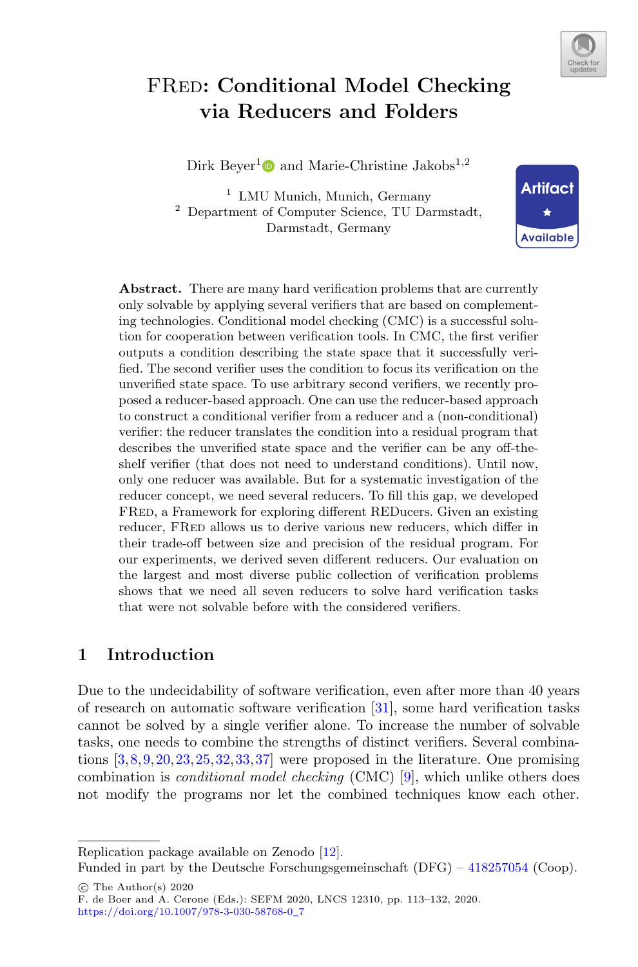

# FRed**: Conditional Model Checking via Reducers and Folders**

Dirk Beyer<sup>[1](http://orcid.org/0000-0003-4832-7662)</sup> $\bullet$  and Marie-Christine Jakobs<sup>1,2</sup>

<sup>1</sup> LMU Munich, Munich, Germany <sup>2</sup> Department of Computer Science, TU Darmstadt, Darmstadt, Germany



**Abstract.** There are many hard verification problems that are currently only solvable by applying several verifiers that are based on complementing technologies. Conditional model checking (CMC) is a successful solution for cooperation between verification tools. In CMC, the first verifier outputs a condition describing the state space that it successfully verified. The second verifier uses the condition to focus its verification on the unverified state space. To use arbitrary second verifiers, we recently proposed a reducer-based approach. One can use the reducer-based approach to construct a conditional verifier from a reducer and a (non-conditional) verifier: the reducer translates the condition into a residual program that describes the unverified state space and the verifier can be any off-theshelf verifier (that does not need to understand conditions). Until now, only one reducer was available. But for a systematic investigation of the reducer concept, we need several reducers. To fill this gap, we developed FRED, a Framework for exploring different REDucers. Given an existing reducer, FRED allows us to derive various new reducers, which differ in their trade-off between size and precision of the residual program. For our experiments, we derived seven different reducers. Our evaluation on the largest and most diverse public collection of verification problems shows that we need all seven reducers to solve hard verification tasks that were not solvable before with the considered verifiers.

### **1 Introduction**

Due to the undecidability of software verification, even after more than 40 years of research on automatic software verification [\[31](#page-17-0)], some hard verification tasks cannot be solved by a single verifier alone. To increase the number of solvable tasks, one needs to combine the strengths of distinct verifiers. Several combinations  $[3,8,9,20,23,25,32,33,37]$  $[3,8,9,20,23,25,32,33,37]$  $[3,8,9,20,23,25,32,33,37]$  $[3,8,9,20,23,25,32,33,37]$  $[3,8,9,20,23,25,32,33,37]$  $[3,8,9,20,23,25,32,33,37]$  $[3,8,9,20,23,25,32,33,37]$  $[3,8,9,20,23,25,32,33,37]$  $[3,8,9,20,23,25,32,33,37]$  $[3,8,9,20,23,25,32,33,37]$  $[3,8,9,20,23,25,32,33,37]$  were proposed in the literature. One promising combination is *conditional model checking* (CMC) [\[9](#page-16-2)], which unlike others does not modify the programs nor let the combined techniques know each other.

 $\odot$  The Author(s) 2020 F. de Boer and A. Cerone (Eds.): SEFM 2020, LNCS 12310, pp. 113–132, 2020. [https://doi.org/10.1007/978-3-030-58768-0](https://doi.org/10.1007/978-3-030-58768-0_7)\_7

Replication package available on Zenodo [\[12\]](#page-16-3).

Funded in part by the Deutsche Forschungsgemeinschaft (DFG) – [418257054](http://gepris.dfg.de/gepris/projekt/418257054) (Coop).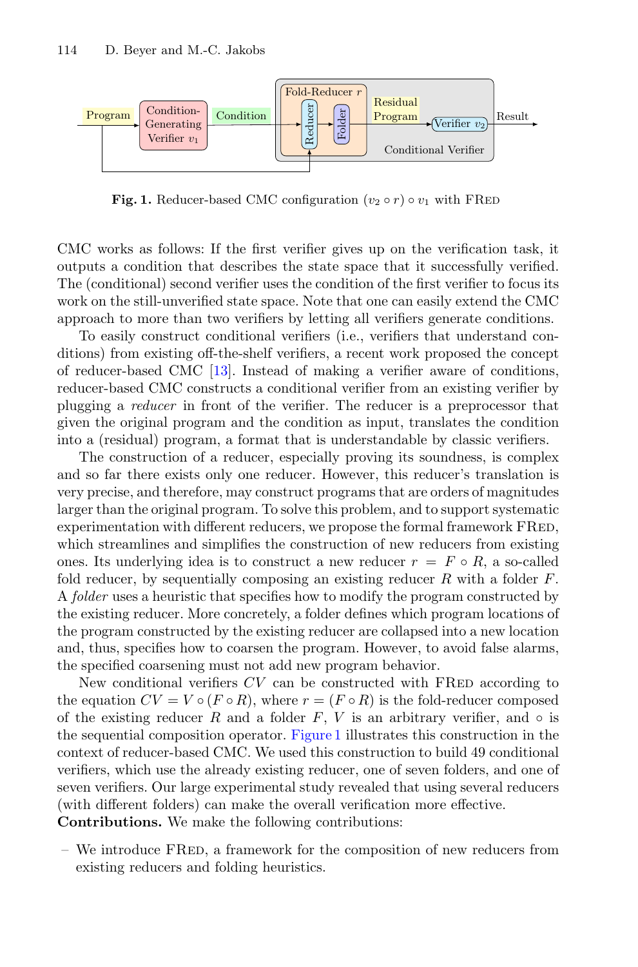<span id="page-1-0"></span>

**Fig. 1.** Reducer-based CMC configuration  $(v_2 \circ r) \circ v_1$  with FRED

CMC works as follows: If the first verifier gives up on the verification task, it outputs a condition that describes the state space that it successfully verified. The (conditional) second verifier uses the condition of the first verifier to focus its work on the still-unverified state space. Note that one can easily extend the CMC approach to more than two verifiers by letting all verifiers generate conditions.

To easily construct conditional verifiers (i.e., verifiers that understand conditions) from existing off-the-shelf verifiers, a recent work proposed the concept of reducer-based CMC [\[13](#page-16-4)]. Instead of making a verifier aware of conditions, reducer-based CMC constructs a conditional verifier from an existing verifier by plugging a *reducer* in front of the verifier. The reducer is a preprocessor that given the original program and the condition as input, translates the condition into a (residual) program, a format that is understandable by classic verifiers.

The construction of a reducer, especially proving its soundness, is complex and so far there exists only one reducer. However, this reducer's translation is very precise, and therefore, may construct programs that are orders of magnitudes larger than the original program. To solve this problem, and to support systematic experimentation with different reducers, we propose the formal framework FRED, which streamlines and simplifies the construction of new reducers from existing ones. Its underlying idea is to construct a new reducer  $r = F \circ R$ , a so-called fold reducer, by sequentially composing an existing reducer  $R$  with a folder  $F$ . A *folder* uses a heuristic that specifies how to modify the program constructed by the existing reducer. More concretely, a folder defines which program locations of the program constructed by the existing reducer are collapsed into a new location and, thus, specifies how to coarsen the program. However, to avoid false alarms, the specified coarsening must not add new program behavior.

New conditional verifiers  $CV$  can be constructed with FRED according to the equation  $CV = V \circ (F \circ R)$ , where  $r = (F \circ R)$  is the fold-reducer composed of the existing reducer R and a folder F, V is an arbitrary verifier, and  $\circ$  is the sequential composition operator. Figure 1 illustrates this construction in the context of reducer-based CMC. We used this construction to build 49 conditional verifiers, which use the already existing reducer, one of seven folders, and one of seven verifiers. Our large experimental study revealed that using several reducers (with different folders) can make the overall verification more effective. **Contributions.** We make the following contributions:

– We introduce FRed, a framework for the composition of new reducers from existing reducers and folding heuristics.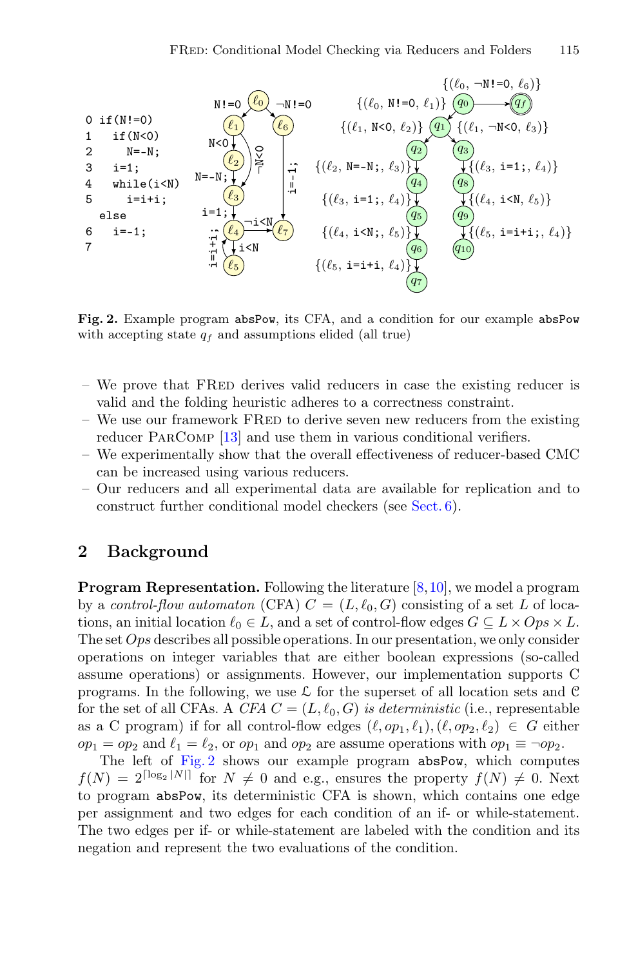<span id="page-2-0"></span>

**Fig. 2.** Example program absPow, its CFA, and a condition for our example absPow with accepting state  $q_f$  and assumptions elided (all true)

- We prove that FRed derives valid reducers in case the existing reducer is valid and the folding heuristic adheres to a correctness constraint.
- $-$  We use our framework FRED to derive seven new reducers from the existing reducer ParComp [\[13\]](#page-16-4) and use them in various conditional verifiers.
- We experimentally show that the overall effectiveness of reducer-based CMC can be increased using various reducers.
- Our reducers and all experimental data are available for replication and to construct further conditional model checkers (see [Sect. 6\)](#page-15-0).

### **2 Background**

**Program Representation.** Following the literature [\[8](#page-16-1), [10\]](#page-16-5), we model a program by a *control-flow automaton* (CFA)  $C = (L, \ell_0, G)$  consisting of a set L of locations, an initial location  $\ell_0 \in L$ , and a set of control-flow edges  $G \subseteq L \times Ops \times L$ . The set Ops describes all possible operations. In our presentation, we only consider operations on integer variables that are either boolean expressions (so-called assume operations) or assignments. However, our implementation supports C programs. In the following, we use  $\mathcal L$  for the superset of all location sets and  $\mathcal C$ for the set of all CFAs. A *CFA*  $C = (L, \ell_0, G)$  *is deterministic* (i.e., representable as a C program) if for all control-flow edges  $(\ell, op_1, \ell_1), (\ell, op_2, \ell_2) \in G$  either  $op_1 = op_2$  and  $\ell_1 = \ell_2$ , or  $op_1$  and  $op_2$  are assume operations with  $op_1 \equiv \neg op_2$ .

The left of Fig. 2 shows our example program absPow, which computes  $f(N)=2^{\lceil \log_2 |N| \rceil}$  for  $N \neq 0$  and e.g., ensures the property  $f(N) \neq 0$ . Next to program absPow, its deterministic CFA is shown, which contains one edge per assignment and two edges for each condition of an if- or while-statement. The two edges per if- or while-statement are labeled with the condition and its negation and represent the two evaluations of the condition.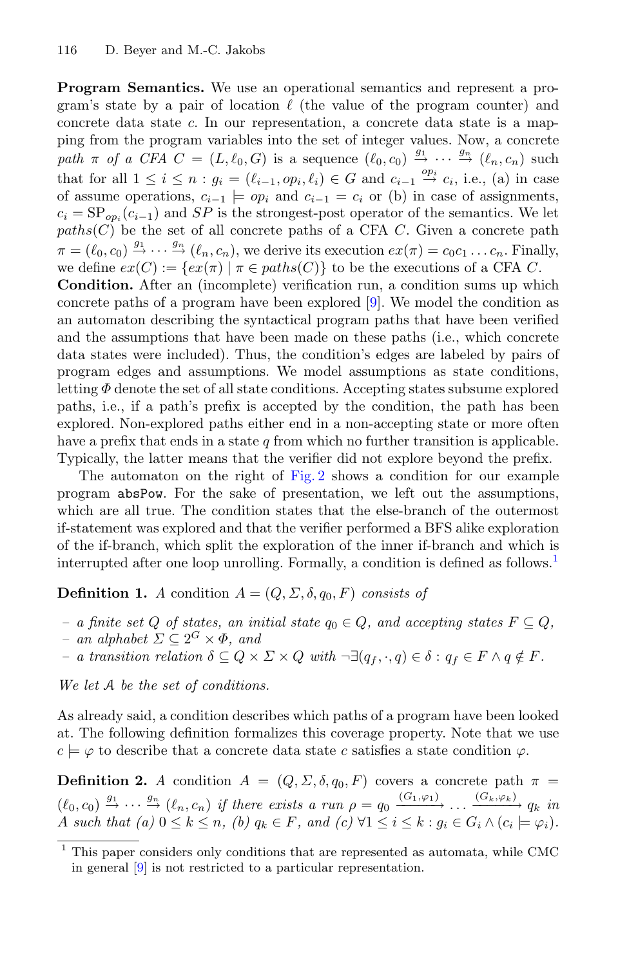**Program Semantics.** We use an operational semantics and represent a program's state by a pair of location  $\ell$  (the value of the program counter) and concrete data state c. In our representation, a concrete data state is a mapping from the program variables into the set of integer values. Now, a concrete path  $\pi$  *of a CFA C* =  $(L, \ell_0, G)$  is a sequence  $(\ell_0, c_0) \stackrel{g_1}{\rightarrow} \cdots \stackrel{g_n}{\rightarrow} (\ell_n, c_n)$  such that for all  $1 \leq i \leq n$ :  $g_i = (\ell_{i-1}, op_i, \ell_i) \in G$  and  $c_{i-1} \stackrel{op_i}{\to} c_i$ , i.e., (a) in case of assume operations,  $c_{i-1} \models op_i$  and  $c_{i-1} = c_i$  or (b) in case of assignments,  $c_i = \text{SP}_{op_i}(c_{i-1})$  and SP is the strongest-post operator of the semantics. We let  $paths(C)$  be the set of all concrete paths of a CFA C. Given a concrete path  $\pi = (\ell_0, c_0) \stackrel{g_1}{\rightarrow} \cdots \stackrel{g_n}{\rightarrow} (\ell_n, c_n)$ , we derive its execution  $ex(\pi) = c_0c_1 \ldots c_n$ . Finally, we define  $ex(C) := \{ex(\pi) | \pi \in paths(C)\}\$ to be the executions of a CFA C.

**Condition.** After an (incomplete) verification run, a condition sums up which concrete paths of a program have been explored [\[9\]](#page-16-2). We model the condition as an automaton describing the syntactical program paths that have been verified and the assumptions that have been made on these paths (i.e., which concrete data states were included). Thus, the condition's edges are labeled by pairs of program edges and assumptions. We model assumptions as state conditions, letting  $\Phi$  denote the set of all state conditions. Accepting states subsume explored paths, i.e., if a path's prefix is accepted by the condition, the path has been explored. Non-explored paths either end in a non-accepting state or more often have a prefix that ends in a state  $q$  from which no further transition is applicable. Typically, the latter means that the verifier did not explore beyond the prefix.

The automaton on the right of [Fig. 2](#page-2-0) shows a condition for our example program absPow. For the sake of presentation, we left out the assumptions, which are all true. The condition states that the else-branch of the outermost if-statement was explored and that the verifier performed a BFS alike exploration of the if-branch, which split the exploration of the inner if-branch and which is interrupted after one loop unrolling. Formally, a condition is defined as follows.<sup>[1](#page-3-0)</sup>

**Definition 1.** *A* condition  $A = (Q, \Sigma, \delta, q_0, F)$  *consists of* 

- *− a finite set*  $Q$  *of states, an initial state*  $q_0 ∈ Q$ *, and accepting states*  $F ⊆ Q$ *,*
- *an alphabet*  $\Sigma \subseteq 2^G \times \Phi$ *, and*
- *a transition relation*  $\delta \subseteq Q \times \Sigma \times Q$  *with*  $\neg \exists (q_f, \cdot, q) \in \delta : q_f \in F \land q \notin F$ .

*We let* A *be the set of conditions.*

As already said, a condition describes which paths of a program have been looked at. The following definition formalizes this coverage property. Note that we use  $c \models \varphi$  to describe that a concrete data state c satisfies a state condition  $\varphi$ .

**Definition 2.** *A* condition  $A = (Q, \Sigma, \delta, q_0, F)$  covers a concrete path  $\pi =$  $(\ell_0, c_0) \stackrel{g_1}{\rightarrow} \cdots \stackrel{g_n}{\rightarrow} (\ell_n, c_n)$  *if there exists a run*  $\rho = q_0 \stackrel{(G_1, \varphi_1)}{\rightarrow} \cdots \stackrel{(G_k, \varphi_k)}{\rightarrow} q_k$  *in*<br>A such that  $(\alpha) \circ \beta < \gamma$ , (b)  $\alpha \in F$ , and  $(\alpha) \not\sqcup \gamma$  is  $\beta$  by a  $\in C$ ,  $\wedge (\alpha \models \alpha)$ A such that (a)  $0 \leq k \leq n$ , (b)  $q_k \in F$ , and (c)  $\forall 1 \leq i \leq k : g_i \in G_i \wedge (c_i \models \varphi_i)$ .

<span id="page-3-0"></span><sup>1</sup> This paper considers only conditions that are represented as automata, while CMC in general [\[9](#page-16-2)] is not restricted to a particular representation.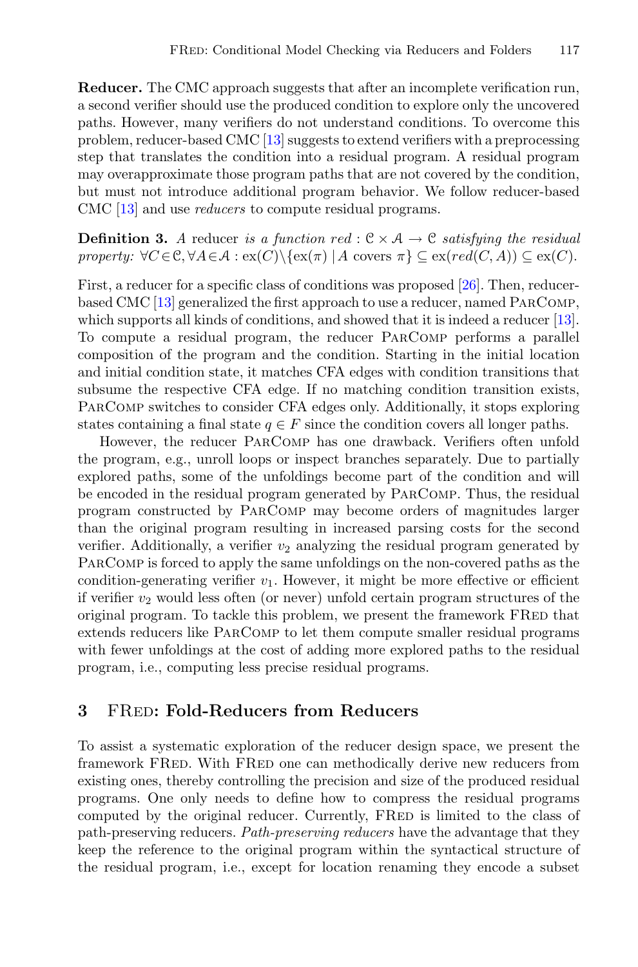**Reducer.** The CMC approach suggests that after an incomplete verification run, a second verifier should use the produced condition to explore only the uncovered paths. However, many verifiers do not understand conditions. To overcome this problem, reducer-based CMC [\[13\]](#page-16-4) suggests to extend verifiers with a preprocessing step that translates the condition into a residual program. A residual program may overapproximate those program paths that are not covered by the condition, but must not introduce additional program behavior. We follow reducer-based CMC [\[13\]](#page-16-4) and use *reducers* to compute residual programs.

**Definition 3.** *A* reducer *is a function* red :  $C \times A \rightarrow C$  *satisfying the residual property:*  $\forall C \in \mathcal{C}, \forall A \in \mathcal{A} : \text{ex}(C) \setminus \{\text{ex}(\pi) \mid A \text{ covers } \pi\} \subseteq \text{ex}(red(C, A)) \subseteq \text{ex}(C).$ 

First, a reducer for a specific class of conditions was proposed [\[26](#page-17-5)]. Then, reducerbased CMC [\[13](#page-16-4)] generalized the first approach to use a reducer, named ParComp, which supports all kinds of conditions, and showed that it is indeed a reducer [\[13\]](#page-16-4). To compute a residual program, the reducer ParComp performs a parallel composition of the program and the condition. Starting in the initial location and initial condition state, it matches CFA edges with condition transitions that subsume the respective CFA edge. If no matching condition transition exists, ParComp switches to consider CFA edges only. Additionally, it stops exploring states containing a final state  $q \in F$  since the condition covers all longer paths.

However, the reducer ParComp has one drawback. Verifiers often unfold the program, e.g., unroll loops or inspect branches separately. Due to partially explored paths, some of the unfoldings become part of the condition and will be encoded in the residual program generated by ParComp. Thus, the residual program constructed by ParComp may become orders of magnitudes larger than the original program resulting in increased parsing costs for the second verifier. Additionally, a verifier  $v_2$  analyzing the residual program generated by ParComp is forced to apply the same unfoldings on the non-covered paths as the condition-generating verifier  $v_1$ . However, it might be more effective or efficient if verifier  $v_2$  would less often (or never) unfold certain program structures of the original program. To tackle this problem, we present the framework FRED that extends reducers like ParComp to let them compute smaller residual programs with fewer unfoldings at the cost of adding more explored paths to the residual program, i.e., computing less precise residual programs.

### <span id="page-4-0"></span>**3** FRed**: Fold-Reducers from Reducers**

To assist a systematic exploration of the reducer design space, we present the framework FRED. With FRED one can methodically derive new reducers from existing ones, thereby controlling the precision and size of the produced residual programs. One only needs to define how to compress the residual programs computed by the original reducer. Currently, FRED is limited to the class of path-preserving reducers. *Path-preserving reducers* have the advantage that they keep the reference to the original program within the syntactical structure of the residual program, i.e., except for location renaming they encode a subset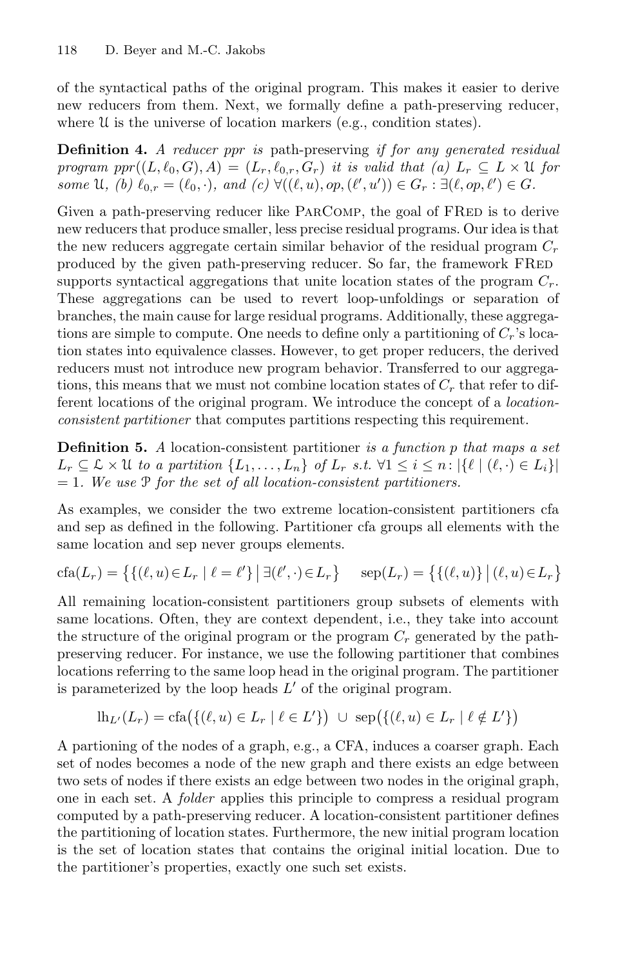of the syntactical paths of the original program. This makes it easier to derive new reducers from them. Next, we formally define a path-preserving reducer, where  $\mathcal U$  is the universe of location markers (e.g., condition states).

**Definition 4.** *A reducer* ppr *is* path-preserving *if for any generated residual program*  $ppr((L, \ell_0, G), A) = (L_r, \ell_{0,r}, G_r)$  *it is valid that*  $(a) L_r \subseteq L \times \mathfrak{U}$  *for*  $g \circ m \circ l$ ,  $(b) \ell_r = (\ell_0, \ell_0)$  and  $(a) \forall l (\ell, u)$  on  $(\ell_0, u') \in G$ ,  $\exists l \ell$  on  $\ell_0$ some U, (b)  $\ell_{0,r} = (\ell_0, \cdot),$  and (c)  $\forall ((\ell, u), op, (\ell', u')) \in G_r : \exists (\ell, op, \ell') \in G.$ 

Given a path-preserving reducer like PARCOMP, the goal of FRED is to derive new reducers that produce smaller, less precise residual programs. Our idea is that the new reducers aggregate certain similar behavior of the residual program  $C_r$ produced by the given path-preserving reducer. So far, the framework FRed supports syntactical aggregations that unite location states of the program  $C_r$ . These aggregations can be used to revert loop-unfoldings or separation of branches, the main cause for large residual programs. Additionally, these aggregations are simple to compute. One needs to define only a partitioning of  $C_r$ 's location states into equivalence classes. However, to get proper reducers, the derived reducers must not introduce new program behavior. Transferred to our aggregations, this means that we must not combine location states of  $C_r$  that refer to different locations of the original program. We introduce the concept of a *locationconsistent partitioner* that computes partitions respecting this requirement.

**Definition 5.** *A* location-consistent partitioner *is a function* p *that maps a set*  $L_r \subseteq \mathcal{L} \times \mathcal{U}$  to a partition  $\{L_1, \ldots, L_n\}$  of  $L_r$  *s.t.*  $\forall 1 \leq i \leq n : |\{\ell | (\ell, \cdot) \in L_i\}|$ <br> $-1$  We use P for the set of all location consistent partition are = 1*. We use* P *for the set of all location-consistent partitioners.*

As examples, we consider the two extreme location-consistent partitioners cfa and sep as defined in the following. Partitioner cfa groups all elements with the same location and sep never groups elements.

$$
cfa(L_r) = \{ \{ (\ell, u) \in L_r \mid \ell = \ell' \} | \exists (\ell', \cdot) \in L_r \} \text{ sep}(L_r) = \{ \{ (\ell, u) \} | (\ell, u) \in L_r \}
$$

All remaining location-consistent partitioners group subsets of elements with same locations. Often, they are context dependent, i.e., they take into account the structure of the original program or the program  $C_r$  generated by the pathpreserving reducer. For instance, we use the following partitioner that combines locations referring to the same loop head in the original program. The partitioner is parameterized by the loop heads  $L'$  of the original program.

$$
\mathrm{lh}_{L'}(L_r) = \mathrm{cfa}\big(\{ (\ell, u) \in L_r \mid \ell \in L' \} \big) \ \cup \ \mathrm{sep}\big(\{ (\ell, u) \in L_r \mid \ell \notin L' \} \big)
$$

A partioning of the nodes of a graph, e.g., a CFA, induces a coarser graph. Each set of nodes becomes a node of the new graph and there exists an edge between two sets of nodes if there exists an edge between two nodes in the original graph, one in each set. A *folder* applies this principle to compress a residual program computed by a path-preserving reducer. A location-consistent partitioner defines the partitioning of location states. Furthermore, the new initial program location is the set of location states that contains the original initial location. Due to the partitioner's properties, exactly one such set exists.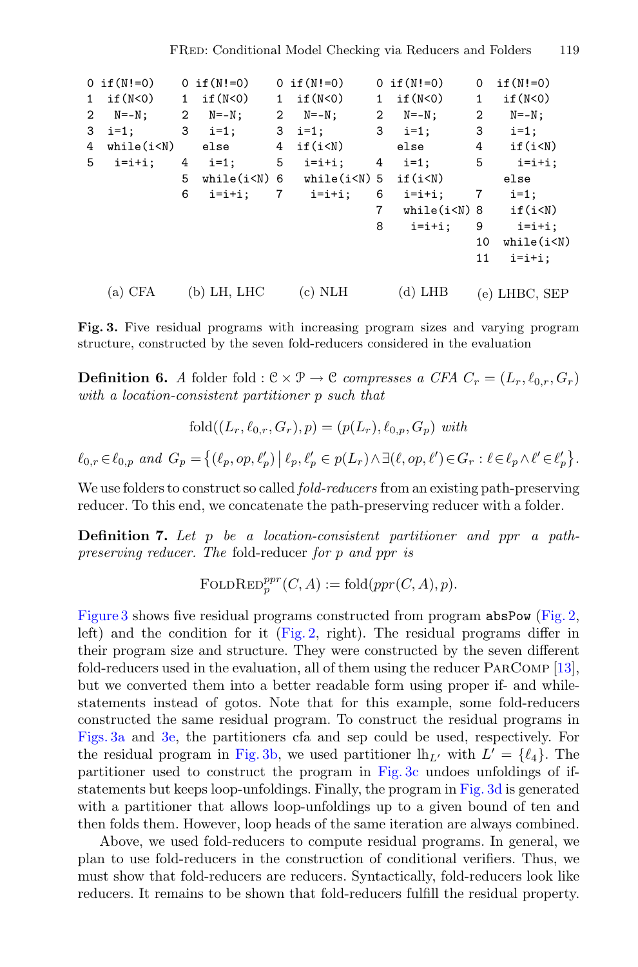<span id="page-6-0"></span>0 if  $(N!=0)$ 1 if(N<0) 2 N=-N; 3 i=1; 4 while(i<N) 5 i=i+i; (a) CFA 0 if(N!=0) 1 if(N<0) 2 N=-N; 3 i=1; else 4 i=1; 5 while(i<N) 6  $6$   $i=$  $i+$  $i$ ; (b) LH, LHC  $0 if(N!=0)$ 1 if(N<0) 2 N=-N; 3 i=1; 4  $if(i< N)$ 5 i=i+i;  $while(i< N) 5$  $7 \qquad i=i+i$ : (c) NLH 0 if(N!=0) 1 if(N<0) 2 N=-N; 3 i=1; else 4 i=1;  $if(i< N)$  $6$  i=i+i: 7 while(i<N) 8 8 i=i+i; (d) LHB 0 if(N!=0) 1 if(N<0) 2 N=-N; 3 i=1; 4  $if(i< N)$ 5 i=i+i; else 7 i=1;  $if(i< N)$ 9 i=i+i; 10 while(i<N) 11 i=i+i; (e) LHBC, SEP

**Fig. 3.** Five residual programs with increasing program sizes and varying program structure, constructed by the seven fold-reducers considered in the evaluation

**Definition 6.** *A* folder fold :  $C \times P \rightarrow C$  *compresses a CFA*  $C_r = (L_r, \ell_{0,r}, G_r)$ *with a location-consistent partitioner* p *such that*

$$
fold((L_r, \ell_{0,r}, G_r), p) = (p(L_r), \ell_{0,p}, G_p) \text{ with }
$$

 $\ell_{0,r} \in \ell_{0,p}$  and  $G_p = \{(\ell_p, op, \ell'_p) \mid \ell_p, \ell'_p \in p(L_r) \land \exists (\ell, op, \ell') \in G_r : \ell \in \ell_p \land \ell' \in \ell'_p\}.$  $\ddot{\phantom{0}}$ 

We use folders to construct so called *fold-reducers* from an existing path-preserving reducer. To this end, we concatenate the path-preserving reducer with a folder.

**Definition 7.** *Let* p *be a location-consistent partitioner and* ppr *a pathpreserving reducer. The* fold-reducer *for* p *and* ppr *is*

FOLDRED<sup>ppr</sup> $(C, A) := \text{fold}(ppr(C, A), p).$ 

Figure 3 shows five residual programs constructed from program absPow [\(Fig. 2,](#page-2-0) left) and the condition for it [\(Fig. 2,](#page-2-0) right). The residual programs differ in their program size and structure. They were constructed by the seven different fold-reducers used in the evaluation, all of them using the reducer ParComp [\[13\]](#page-16-4), but we converted them into a better readable form using proper if- and whilestatements instead of gotos. Note that for this example, some fold-reducers constructed the same residual program. To construct the residual programs in Figs. 3a and 3e, the partitioners cfa and sep could be used, respectively. For the residual program in Fig. 3b, we used partitioner  $lh_{L'}$  with  $L' = \{\ell_4\}$ . The partitioner used to construct the program in Fig. 3c undoes unfoldings of ifstatements but keeps loop-unfoldings. Finally, the program in Fig. 3d is generated with a partitioner that allows loop-unfoldings up to a given bound of ten and then folds them. However, loop heads of the same iteration are always combined.

Above, we used fold-reducers to compute residual programs. In general, we plan to use fold-reducers in the construction of conditional verifiers. Thus, we must show that fold-reducers are reducers. Syntactically, fold-reducers look like reducers. It remains to be shown that fold-reducers fulfill the residual property.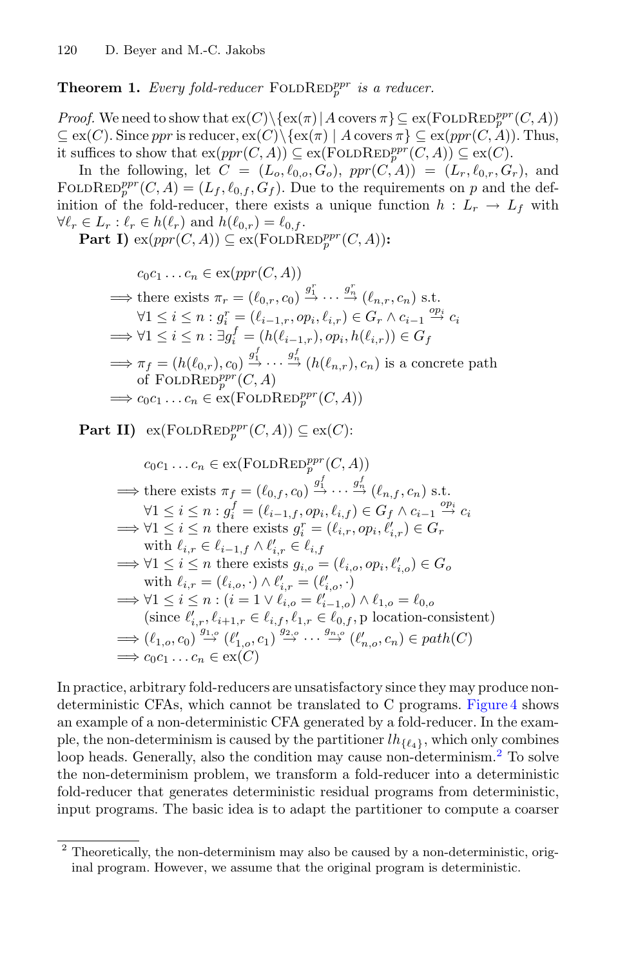**Theorem 1.** *Every fold-reducer* FOLD $\text{RED}_p^{ppr}$  *is a reducer.* 

*Proof.* We need to show that  $ex(C)\{ex(\pi)|A \text{ covers } \pi\} \subseteq ex(FOLDRED_p^{ppr}(C, A))$ <br> $\subset ex(C)$ . Since particular  $ex(C)\{ex(\pi)|A \text{ covers } \pi\} \subseteq ex(mr(C, A))$ . Thus  $\subseteq$  ex(C). Since ppr is reducer, ex(C)\{ex( $\pi$ ) | A covers  $\pi$ }  $\subseteq$  ex(ppr(C, A)). Thus, it suffices to show that  $\exp(r(C, A)) \subseteq \exp(\text{FOLDRED}_{p}^{p})}(C, A)) \subseteq \exp(C)$ .<br>In the following let  $C = (L \ell_0 \cap C) \cdot \text{m}r(C, A)) = (L \ell_0 \cap C)$ 

In the following, let  $C = (L_o, \ell_{0,o}, G_o)$ ,  $ppr(C, A) = (L_r, \ell_{0,r}, G_r)$ , and FOLDRED<sup>ppr</sup>  $(C, A) = (L_f, \ell_{0,f}, G_f)$ . Due to the requirements on p and the def-<br>inition of the fold-reducer, there exists a unique function  $h : L \to L_f$  with inition of the fold-reducer, there exists a unique function  $h: L_r \to L_f$  with  $\forall \ell_r \in L_r : \ell_r \in h(\ell_r) \text{ and } h(\ell_{0,r}) = \ell_{0,f}.$ <br> **Port I**)  $\alpha r(\text{row}(C, A)) \subseteq \alpha r(\text{For } B)$ 

**Part I)**  $ex(ppr(C, A)) \subseteq ex(\text{FOLDRED}_p^{ppr}(C, A))$ **:** 

$$
c_0c_1 \dots c_n \in \exp(prr(C, A))
$$
  
\n
$$
\implies \text{there exists } \pi_r = (\ell_{0,r}, c_0) \xrightarrow{g_1^r} \dots \xrightarrow{g_n^r} (\ell_{n,r}, c_n) \text{ s.t.}
$$
  
\n
$$
\forall 1 \leq i \leq n : g_i^r = (\ell_{i-1,r}, op_i, \ell_{i,r}) \in G_r \land c_{i-1} \xrightarrow{op_i} c_i
$$
  
\n
$$
\implies \forall 1 \leq i \leq n : \exists g_i^f = (h(\ell_{i-1,r}), op_i, h(\ell_{i,r})) \in G_f
$$
  
\n
$$
\implies \pi_f = (h(\ell_{0,r}), c_0) \xrightarrow{g_1^f} \dots \xrightarrow{g_n^f} (h(\ell_{n,r}), c_n) \text{ is a concrete path}
$$
  
\nof FOLDRED<sup>ppr</sup><sub>p</sub>(C, A)  
\n
$$
\implies c_0c_1 \dots c_n \in \exp(\text{FOLDRED}_{p}^{ppr}(C, A))
$$

**Part II)**  $ex(FOLDRED_p^{ppr}(C, A)) \subseteq ex(C)$ :

$$
c_0c_1 \dots c_n \in \text{ex}(\text{FOLDRED}_p^{ppr}(C, A))
$$
  
\n
$$
\implies \text{there exists } \pi_f = (\ell_{0,f}, c_0) \xrightarrow{q_1^f} \dots \xrightarrow{g_t^f} (\ell_{n,f}, c_n) \text{ s.t.}
$$
  
\n
$$
\forall 1 \leq i \leq n : g_i^f = (\ell_{i-1,f}, op_i, \ell_{i,f}) \in G_f \land c_{i-1} \xrightarrow{op_i} c_i
$$
  
\n
$$
\implies \forall 1 \leq i \leq n \text{ there exists } g_i^r = (\ell_{i,r}, op_i, \ell'_{i,r}) \in G_r
$$
  
\nwith  $\ell_{i,r} \in \ell_{i-1,f} \land \ell'_{i,r} \in \ell_{i,f}$   
\n
$$
\implies \forall 1 \leq i \leq n \text{ there exists } g_{i,o} = (\ell_{i,o}, op_i, \ell'_{i,o}) \in G_o
$$
  
\nwith  $\ell_{i,r} = (\ell_{i,o}, \cdot) \land \ell'_{i,r} = (\ell'_{i,o}, \cdot)$   
\n
$$
\implies \forall 1 \leq i \leq n : (i = 1 \lor \ell_{i,o} = \ell'_{i-1,o}) \land \ell_{1,o} = \ell_{0,o}
$$
  
\n(since  $\ell'_{i,r}, \ell_{i+1,r} \in \ell_{i,f}, \ell_{1,r} \in \ell_{0,f}, \text{p location-consistent})$   
\n
$$
\implies (\ell_{1,o}, c_0) \xrightarrow{g_1,o} (\ell'_{1,o}, c_1) \xrightarrow{g_2,o} \dots \xrightarrow{g_{n,o}} (\ell'_{n,o}, c_n) \in path(C)
$$
  
\n
$$
\implies c_0c_1 \dots c_n \in \text{ex}(C)
$$

In practice, arbitrary fold-reducers are unsatisfactory since they may produce nondeterministic CFAs, which cannot be translated to C programs. [Figure 4](#page-8-0) shows an example of a non-deterministic CFA generated by a fold-reducer. In the example, the non-determinism is caused by the partitioner  $lh_{\{\ell_4\}}$ , which only combines loop heads. Generally, also the condition may cause non-determinism.<sup>[2](#page-7-0)</sup> To solve the non-determinism problem, we transform a fold-reducer into a deterministic fold-reducer that generates deterministic residual programs from deterministic, input programs. The basic idea is to adapt the partitioner to compute a coarser

<span id="page-7-0"></span><sup>2</sup> Theoretically, the non-determinism may also be caused by a non-deterministic, original program. However, we assume that the original program is deterministic.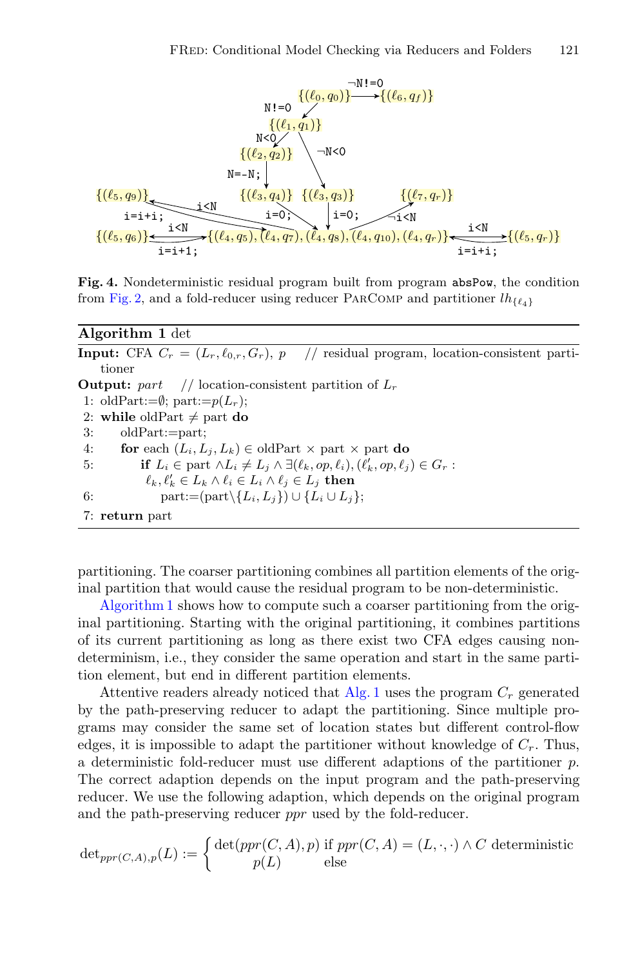<span id="page-8-0"></span>

**Fig. 4.** Nondeterministic residual program built from program absPow, the condition from [Fig. 2,](#page-2-0) and a fold-reducer using reducer PARCOMP and partitioner  $lh_{\{\ell_4\}}$ 

#### **Algorithm 1** det

<span id="page-8-1"></span>**Input:** CFA  $C_r = (L_r, \ell_{0,r}, G_r)$ , p // residual program, location-consistent partitioner **Output:** part  $\frac{1}{\sqrt{2}}$  location-consistent partition of  $L_r$ 1: oldPart: $=$ Ø; part: $=$  $p(L_r)$ ; 2: **while** oldPart  $\neq$  part **do**<br>3: oldPart:=part; oldPart:=part; 4: **for** each  $(L_i, L_j, L_k) \in \text{oldPart} \times \text{part} \times \text{part} \textbf{do}$ <br>5: **if**  $L_i \in \text{part } \wedge L_i \neq L_i \wedge \exists (\ell_k, op, \ell_i), (\ell'_k, op, \ell_i)$ 5: **if**  $L_i \in \text{part } \wedge L_i \neq L_j \wedge \exists (\ell_k, op, \ell_i), (\ell'_k, op, \ell_j) \in G_r$ :  $\ell_k, \ell'_k \in L_k \wedge \ell_i \in L_i \wedge \ell_j \in L_j$  then 6:  $part:=(part\langle L_i, L_j\rangle) \cup \{L_i \cup L_j\};$ 7: **return** part

partitioning. The coarser partitioning combines all partition elements of the original partition that would cause the residual program to be non-deterministic.

[Algorithm 1](#page-8-1) shows how to compute such a coarser partitioning from the original partitioning. Starting with the original partitioning, it combines partitions of its current partitioning as long as there exist two CFA edges causing nondeterminism, i.e., they consider the same operation and start in the same partition element, but end in different partition elements.

Attentive readers already noticed that [Alg. 1](#page-8-1) uses the program  $C_r$  generated by the path-preserving reducer to adapt the partitioning. Since multiple programs may consider the same set of location states but different control-flow edges, it is impossible to adapt the partitioner without knowledge of  $C_r$ . Thus, a deterministic fold-reducer must use different adaptions of the partitioner  $p$ . The correct adaption depends on the input program and the path-preserving reducer. We use the following adaption, which depends on the original program and the path-preserving reducer ppr used by the fold-reducer.

$$
\det_{ppr(C,A),p}(L) := \begin{cases} \det(ppr(C,A),p) & \text{if } ppr(C,A) = (L,\cdot,\cdot) \land C \text{ deterministic} \\ p(L) & \text{else} \end{cases}
$$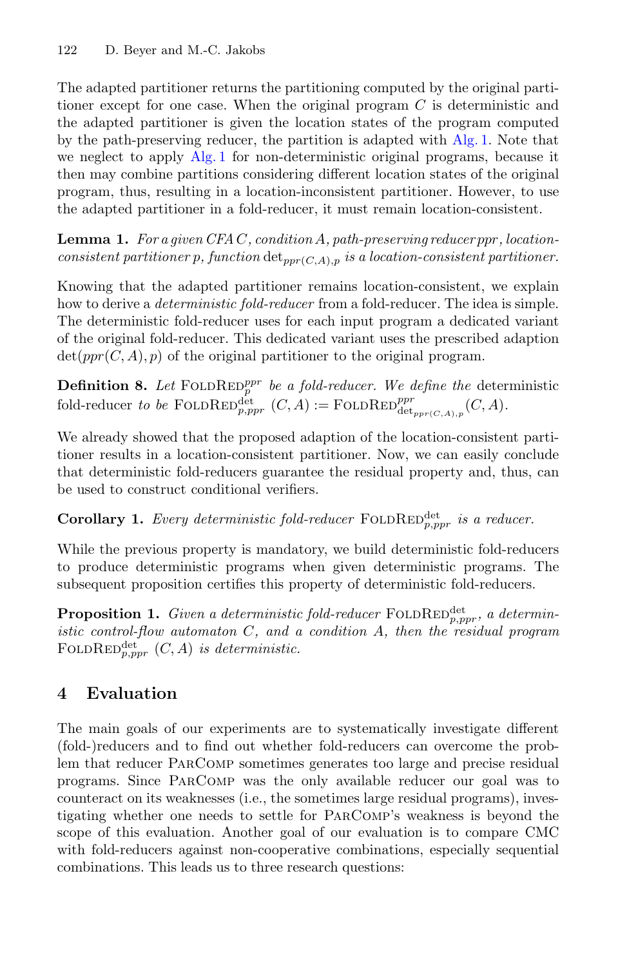The adapted partitioner returns the partitioning computed by the original partitioner except for one case. When the original program C is deterministic and the adapted partitioner is given the location states of the program computed by the path-preserving reducer, the partition is adapted with [Alg. 1.](#page-8-1) Note that we neglect to apply [Alg. 1](#page-8-1) for non-deterministic original programs, because it then may combine partitions considering different location states of the original program, thus, resulting in a location-inconsistent partitioner. However, to use the adapted partitioner in a fold-reducer, it must remain location-consistent.

**Lemma 1.** *For a given CFA* C*, condition* A*, path-preserving reducer* ppr*, locationconsistent partitioner* p, function  $\det_{ppr(C,A),p}$  *is a location-consistent partitioner.* 

Knowing that the adapted partitioner remains location-consistent, we explain how to derive a *deterministic fold-reducer* from a fold-reducer. The idea is simple. The deterministic fold-reducer uses for each input program a dedicated variant of the original fold-reducer. This dedicated variant uses the prescribed adaption  $\det(ppr(C, A), p)$  of the original partitioner to the original program.

**Definition 8.** Let FOLDRED<sup>ppr</sup> be a fold-reducer. We define the deterministic fold-reducer to be FOLDRED<sup>det</sup><sub>p,ppr</sub>  $(C, A) :=$  FOLDRED<sup>ppr</sup><sub>det<sub>ppr</sub>(*C*,*A*),*p*</sub>  $(C, A)$ .

We already showed that the proposed adaption of the location-consistent partitioner results in a location-consistent partitioner. Now, we can easily conclude that deterministic fold-reducers guarantee the residual property and, thus, can be used to construct conditional verifiers.

**Corollary 1.** *Every deterministic fold-reducer* FOLDRED<sup>det</sup><sub>*P,ppr</sub> is a reducer.*</sub>

While the previous property is mandatory, we build deterministic fold-reducers to produce deterministic programs when given deterministic programs. The subsequent proposition certifies this property of deterministic fold-reducers.

**Proposition 1.** *Given a deterministic fold-reducer* FOLDRED<sup>det</sup>, a determin-<br>istic control flow guternator C, and a condition A, then the residual program *istic control-flow automaton* C*, and a condition* A*, then the residual program* FOLDRED<sup>det</sup><sub>p,ppr</sub>  $(C, A)$  *is deterministic.* 

# **4 Evaluation**

The main goals of our experiments are to systematically investigate different (fold-)reducers and to find out whether fold-reducers can overcome the problem that reducer ParComp sometimes generates too large and precise residual programs. Since ParComp was the only available reducer our goal was to counteract on its weaknesses (i.e., the sometimes large residual programs), investigating whether one needs to settle for ParComp's weakness is beyond the scope of this evaluation. Another goal of our evaluation is to compare CMC with fold-reducers against non-cooperative combinations, especially sequential combinations. This leads us to three research questions: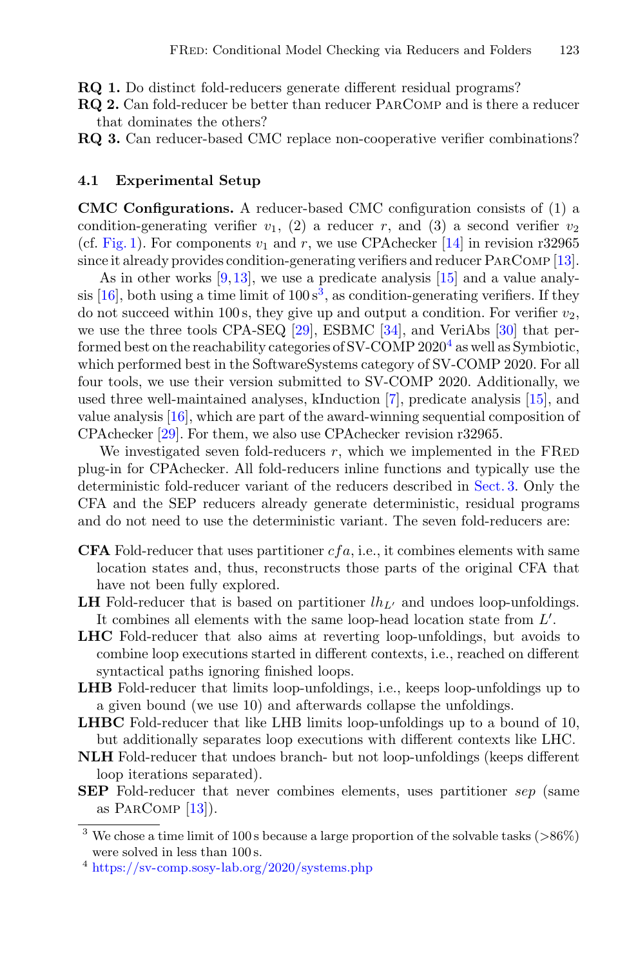- **RQ 1.** Do distinct fold-reducers generate different residual programs?
- **RQ 2.** Can fold-reducer be better than reducer ParComp and is there a reducer that dominates the others?
- **RQ 3.** Can reducer-based CMC replace non-cooperative verifier combinations?

#### **4.1 Experimental Setup**

**CMC Configurations.** A reducer-based CMC configuration consists of (1) a condition-generating verifier  $v_1$ , (2) a reducer r, and (3) a second verifier  $v_2$ (cf. [Fig. 1\)](#page-1-0). For components  $v_1$  and r, we use CPAchecker [\[14\]](#page-16-6) in revision r32965 since it already provides condition-generating verifiers and reducer ParComp [\[13\]](#page-16-4).

As in other works  $[9,13]$  $[9,13]$ , we use a predicate analysis  $[15]$  $[15]$  and a value analy-sis [\[16](#page-16-8)], both using a time limit of  $100 s<sup>3</sup>$  $100 s<sup>3</sup>$  $100 s<sup>3</sup>$ , as condition-generating verifiers. If they do not succeed within 100 s, they give up and output a condition. For verifier  $v_2$ , we use the three tools CPA-SEQ [\[29](#page-17-6)], ESBMC [\[34](#page-18-2)], and VeriAbs [\[30\]](#page-17-7) that performed best on the reachability categories of  $SV\text{-}COMP$  2020<sup>[4](#page-10-1)</sup> as well as Symbiotic, which performed best in the SoftwareSystems category of SV-COMP 2020. For all four tools, we use their version submitted to SV-COMP 2020. Additionally, we used three well-maintained analyses, kInduction [\[7\]](#page-16-9), predicate analysis [\[15\]](#page-16-7), and value analysis [\[16](#page-16-8)], which are part of the award-winning sequential composition of CPAchecker [\[29](#page-17-6)]. For them, we also use CPAchecker revision r32965.

We investigated seven fold-reducers  $r$ , which we implemented in the FRED plug-in for CPAchecker. All fold-reducers inline functions and typically use the deterministic fold-reducer variant of the reducers described in [Sect. 3.](#page-4-0) Only the CFA and the SEP reducers already generate deterministic, residual programs and do not need to use the deterministic variant. The seven fold-reducers are:

- **CFA** Fold-reducer that uses partitioner  $cfa$ , i.e., it combines elements with same location states and, thus, reconstructs those parts of the original CFA that have not been fully explored.
- **LH** Fold-reducer that is based on partitioner  $lh_L$  and undoes loop-unfoldings.<br>
It combines all elements with the same leap head legation state from  $L'$ It combines all elements with the same loop-head location state from L'.
- **LHC** Fold-reducer that also aims at reverting loop-unfoldings, but avoids to combine loop executions started in different contexts, i.e., reached on different syntactical paths ignoring finished loops.
- **LHB** Fold-reducer that limits loop-unfoldings, i.e., keeps loop-unfoldings up to a given bound (we use 10) and afterwards collapse the unfoldings.
- **LHBC** Fold-reducer that like LHB limits loop-unfoldings up to a bound of 10, but additionally separates loop executions with different contexts like LHC.
- **NLH** Fold-reducer that undoes branch- but not loop-unfoldings (keeps different loop iterations separated).
- **SEP** Fold-reducer that never combines elements, uses partitioner sep (same as PARCOMP  $[13]$ ).

<span id="page-10-0"></span> $^3$  We chose a time limit of 100 s because a large proportion of the solvable tasks  $(>\!86\%)$ were solved in less than 100 s.

<span id="page-10-1"></span><sup>4</sup> <https://sv-comp.sosy-lab.org/2020/systems.php>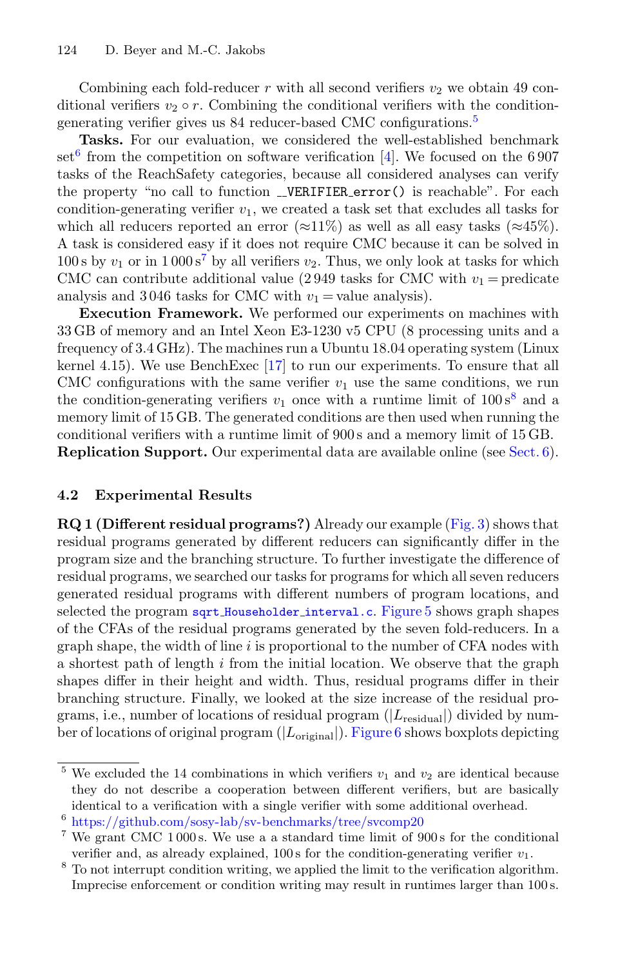Combining each fold-reducer r with all second verifiers  $v_2$  we obtain 49 conditional verifiers  $v_2 \circ r$ . Combining the conditional verifiers with the condition-generating verifier gives us 84 reducer-based CMC configurations.<sup>[5](#page-11-0)</sup>

**Tasks.** For our evaluation, we considered the well-established benchmark set<sup>[6](#page-11-1)</sup> from the competition on software verification [\[4\]](#page-16-10). We focused on the 6 907 tasks of the ReachSafety categories, because all considered analyses can verify the property "no call to function \_VERIFIER error() is reachable". For each condition-generating verifier  $v_1$ , we created a task set that excludes all tasks for which all reducers reported an error  $(\approx 11\%)$  as well as all easy tasks  $(\approx 45\%)$ . A task is considered easy if it does not require CMC because it can be solved in 100 s by  $v_1$  or in 1 000 s<sup>[7](#page-11-2)</sup> by all verifiers  $v_2$ . Thus, we only look at tasks for which CMC can contribute additional value (2949 tasks for CMC with  $v_1$  = predicate analysis and 3046 tasks for CMC with  $v_1$  = value analysis).

**Execution Framework.** We performed our experiments on machines with 33 GB of memory and an Intel Xeon E3-1230 v5 CPU (8 processing units and a frequency of 3.4 GHz). The machines run a Ubuntu 18.04 operating system (Linux kernel 4.15). We use BenchExec  $[17]$  to run our experiments. To ensure that all CMC configurations with the same verifier  $v_1$  use the same conditions, we run the condition-generating verifiers  $v_1$  once with a runtime limit of  $100 s<sup>8</sup>$  $100 s<sup>8</sup>$  $100 s<sup>8</sup>$  and a memory limit of 15 GB. The generated conditions are then used when running the conditional verifiers with a runtime limit of 900 s and a memory limit of 15 GB. **Replication Support.** Our experimental data are available online (see [Sect. 6\)](#page-15-0).

#### **4.2 Experimental Results**

**RQ 1 (Different residual programs?)** Already our example [\(Fig. 3\)](#page-6-0) shows that residual programs generated by different reducers can significantly differ in the program size and the branching structure. To further investigate the difference of residual programs, we searched our tasks for programs for which all seven reducers generated residual programs with different numbers of program locations, and selected the program sqrt [Householder](https://github.com/sosy-lab/sv-benchmarks/blob/svcomp20/c/float-benchs/sqrt_Householder_interval.c) interval.c. [Figure 5](#page-12-0) shows graph shapes of the CFAs of the residual programs generated by the seven fold-reducers. In a graph shape, the width of line  $i$  is proportional to the number of CFA nodes with a shortest path of length i from the initial location. We observe that the graph shapes differ in their height and width. Thus, residual programs differ in their branching structure. Finally, we looked at the size increase of the residual programs, i.e., number of locations of residual program  $(|L_{residual}|)$  divided by number of locations of original program  $(|L_{original}|)$ . [Figure 6](#page-12-0) shows boxplots depicting

<span id="page-11-0"></span><sup>&</sup>lt;sup>5</sup> We excluded the 14 combinations in which verifiers  $v_1$  and  $v_2$  are identical because they do not describe a cooperation between different verifiers, but are basically identical to a verification with a single verifier with some additional overhead.

<span id="page-11-1"></span> $^6$ <https://github.com/sosy-lab/sv-benchmarks/tree/svcomp20>

<span id="page-11-2"></span><sup>7</sup> We grant CMC 1 000 s. We use a a standard time limit of 900 s for the conditional verifier and, as already explained,  $100 s$  for the condition-generating verifier  $v_1$ .

<span id="page-11-3"></span> $^8$  To not interrupt condition writing, we applied the limit to the verification algorithm. Imprecise enforcement or condition writing may result in runtimes larger than 100 s.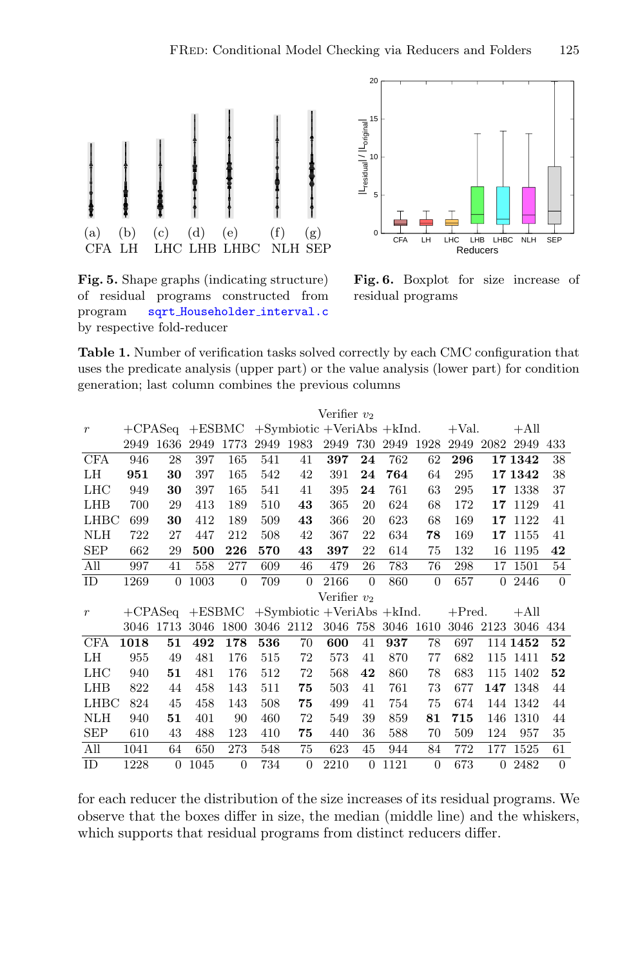<span id="page-12-0"></span>

**Fig. 5.** Shape graphs (indicating structure) of residual programs constructed from program sqrt [Householder](https://github.com/sosy-lab/sv-benchmarks/blob/svcomp20/c/float-benchs/sqrt_Householder_interval.c) interval.c by respective fold-reducer



**Fig. 6.** Boxplot for size increase of residual programs

<span id="page-12-1"></span>**Table 1.** Number of verification tasks solved correctly by each CMC configuration that uses the predicate analysis (upper part) or the value analysis (lower part) for condition generation; last column combines the previous columns

|                  | Verifier $v_2$ |          |                |           |     |           |                                     |          |                    |                |           |           |           |          |  |
|------------------|----------------|----------|----------------|-----------|-----|-----------|-------------------------------------|----------|--------------------|----------------|-----------|-----------|-----------|----------|--|
| $\boldsymbol{r}$ | $+CPAS$ ea     |          | $+{\rm ESBMC}$ |           |     |           | $+$ Symbiotic $+$ VeriAbs $+$ kInd. |          |                    |                | $+$ Val.  |           | $+AII$    |          |  |
|                  | 2949           | 1636     | 2949 1773      |           |     | 2949 1983 |                                     |          | 2949 730 2949 1928 |                | 2949      |           | 2082 2949 | 433      |  |
| <b>CFA</b>       | 946            | 28       | 397            | 165       | 541 | 41        | 397                                 | 24       | 762                | 62             | 296       |           | 17 1342   | 38       |  |
| LH               | 951            | 30       | 397            | 165       | 542 | 42        | 391                                 | 24       | 764                | 64             | 295       |           | 17 1342   | 38       |  |
| <b>LHC</b>       | 949            | 30       | 397            | 165       | 541 | 41        | 395                                 | 24       | 761                | 63             | 295       |           | 17 1338   | 37       |  |
| <b>LHB</b>       | 700            | 29       | 413            | 189       | 510 | 43        | 365                                 | 20       | 624                | 68             | 172       |           | 17 1129   | 41       |  |
| <b>LHBC</b>      | 699            | 30       | 412            | 189       | 509 | 43        | 366                                 | 20       | 623                | 68             | 169       |           | 17 1122   | 41       |  |
| <b>NLH</b>       | 722            | 27       | 447            | 212       | 508 | 42        | 367                                 | 22       | 634                | 78             | 169       |           | 17 1155   | 41       |  |
| <b>SEP</b>       | 662            | 29       | 500            | 226       | 570 | 43        | 397                                 | 22       | 614                | 75             | 132       | 16        | 1195      | 42       |  |
| All              | 997            | 41       | 558            | 277       | 609 | 46        | 479                                 | 26       | 783                | 76             | 298       | 17        | 1501      | 54       |  |
| ID               | 1269           | $\Omega$ | 1003           | $\Omega$  | 709 | $\Omega$  | 2166                                | $\Omega$ | 860                | $\overline{0}$ | 657       | $\Omega$  | 2446      | $\Omega$ |  |
|                  | Verifier $v_2$ |          |                |           |     |           |                                     |          |                    |                |           |           |           |          |  |
| $\boldsymbol{r}$ | $+CPAS$ eq     |          | $+{\rm ESBMC}$ |           |     |           | $+$ Symbiotic $+$ VeriAbs $+$ kInd. |          |                    |                | $+$ Pred. |           | $+AII$    |          |  |
|                  | 3046           | 1713     |                | 3046 1800 |     | 3046 2112 |                                     |          | 3046 758 3046 1610 |                |           | 3046 2123 | 3046      | 434      |  |
| <b>CFA</b>       | 1018           | 51       | 492            | 178       | 536 | 70        | 600                                 | 41       | 937                | 78             | 697       |           | 114 1452  | 52       |  |
| LH               | 955            | 49       | 481            | 176       | 515 | 72        | 573                                 | 41       | 870                | 77             | 682       |           | 115 1411  | 52       |  |
| <b>LHC</b>       | 940            | 51       | 481            | 176       | 512 | 72        | 568                                 | 42       | 860                | 78             | 683       | 115       | 1402      | 52       |  |
| <b>LHB</b>       | 822            | 44       | 458            | 143       | 511 | 75        | 503                                 | 41       | 761                | 73             | 677       |           | 147 1348  | 44       |  |
| <b>LHBC</b>      | 824            | 45       | 458            | 143       | 508 | 75        | 499                                 | 41       | 754                | 75             | 674       |           | 144 1342  | 44       |  |
| <b>NLH</b>       | 940            | 51       | 401            | 90        | 460 | 72        | 549                                 | 39       | 859                | 81             | 715       | 146       | 1310      | 44       |  |
| <b>SEP</b>       | 610            | 43       | 488            | 123       | 410 | 75        | 440                                 | 36       | 588                | 70             | 509       | 124       | 957       | 35       |  |
| All              | 1041           | 64       | 650            | 273       | 548 | 75        | 623                                 | 45       | 944                | 84             | 772       | 177       | 1525      | 61       |  |
| ID               | 1228           | $\Omega$ | 1045           | $\theta$  | 734 | $\Omega$  | 2210                                | $\Omega$ | 1121               | $\overline{0}$ | 673       |           | 0 2482    | $\theta$ |  |

for each reducer the distribution of the size increases of its residual programs. We observe that the boxes differ in size, the median (middle line) and the whiskers, which supports that residual programs from distinct reducers differ.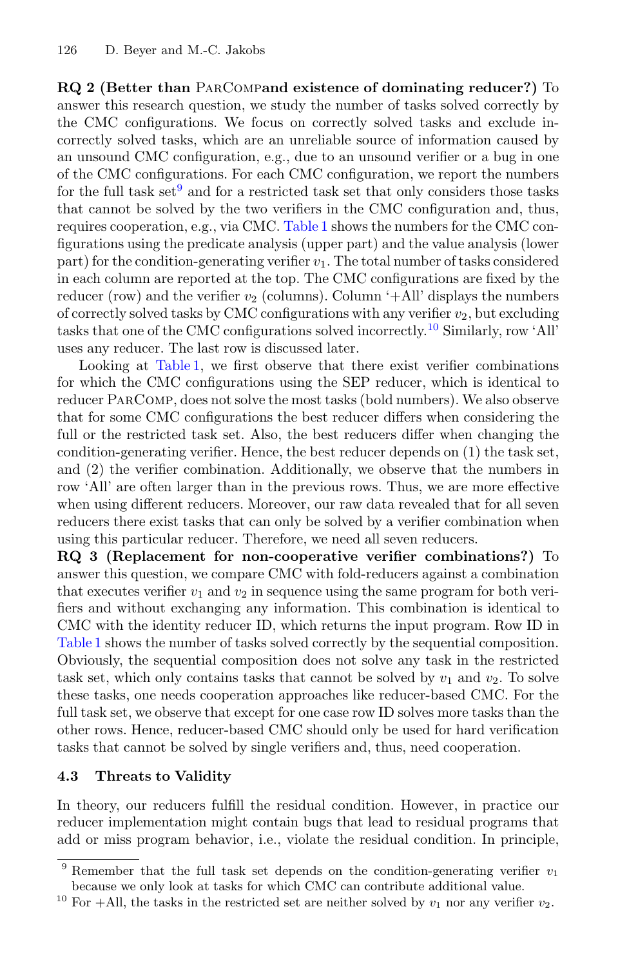**RQ 2 (Better than** ParComp**and existence of dominating reducer?)** To answer this research question, we study the number of tasks solved correctly by the CMC configurations. We focus on correctly solved tasks and exclude incorrectly solved tasks, which are an unreliable source of information caused by an unsound CMC configuration, e.g., due to an unsound verifier or a bug in one of the CMC configurations. For each CMC configuration, we report the numbers for the full task set $9$  and for a restricted task set that only considers those tasks that cannot be solved by the two verifiers in the CMC configuration and, thus, requires cooperation, e.g., via CMC. [Table 1](#page-12-1) shows the numbers for the CMC configurations using the predicate analysis (upper part) and the value analysis (lower part) for the condition-generating verifier  $v_1$ . The total number of tasks considered in each column are reported at the top. The CMC configurations are fixed by the reducer (row) and the verifier  $v_2$  (columns). Column '+All' displays the numbers of correctly solved tasks by CMC configurations with any verifier  $v_2$ , but excluding tasks that one of the CMC configurations solved incorrectly.[10](#page-13-1) Similarly, row 'All' uses any reducer. The last row is discussed later.

Looking at [Table 1,](#page-12-1) we first observe that there exist verifier combinations for which the CMC configurations using the SEP reducer, which is identical to reducer ParComp, does not solve the most tasks (bold numbers). We also observe that for some CMC configurations the best reducer differs when considering the full or the restricted task set. Also, the best reducers differ when changing the condition-generating verifier. Hence, the best reducer depends on (1) the task set, and (2) the verifier combination. Additionally, we observe that the numbers in row 'All' are often larger than in the previous rows. Thus, we are more effective when using different reducers. Moreover, our raw data revealed that for all seven reducers there exist tasks that can only be solved by a verifier combination when using this particular reducer. Therefore, we need all seven reducers.

**RQ 3 (Replacement for non-cooperative verifier combinations?)** To answer this question, we compare CMC with fold-reducers against a combination that executes verifier  $v_1$  and  $v_2$  in sequence using the same program for both verifiers and without exchanging any information. This combination is identical to CMC with the identity reducer ID, which returns the input program. Row ID in [Table 1](#page-12-1) shows the number of tasks solved correctly by the sequential composition. Obviously, the sequential composition does not solve any task in the restricted task set, which only contains tasks that cannot be solved by  $v_1$  and  $v_2$ . To solve these tasks, one needs cooperation approaches like reducer-based CMC. For the full task set, we observe that except for one case row ID solves more tasks than the other rows. Hence, reducer-based CMC should only be used for hard verification tasks that cannot be solved by single verifiers and, thus, need cooperation.

#### **4.3 Threats to Validity**

In theory, our reducers fulfill the residual condition. However, in practice our reducer implementation might contain bugs that lead to residual programs that add or miss program behavior, i.e., violate the residual condition. In principle,

<span id="page-13-0"></span><sup>&</sup>lt;sup>9</sup> Remember that the full task set depends on the condition-generating verifier  $v_1$ because we only look at tasks for which CMC can contribute additional value.

<span id="page-13-1"></span><sup>&</sup>lt;sup>10</sup> For +All, the tasks in the restricted set are neither solved by  $v_1$  nor any verifier  $v_2$ .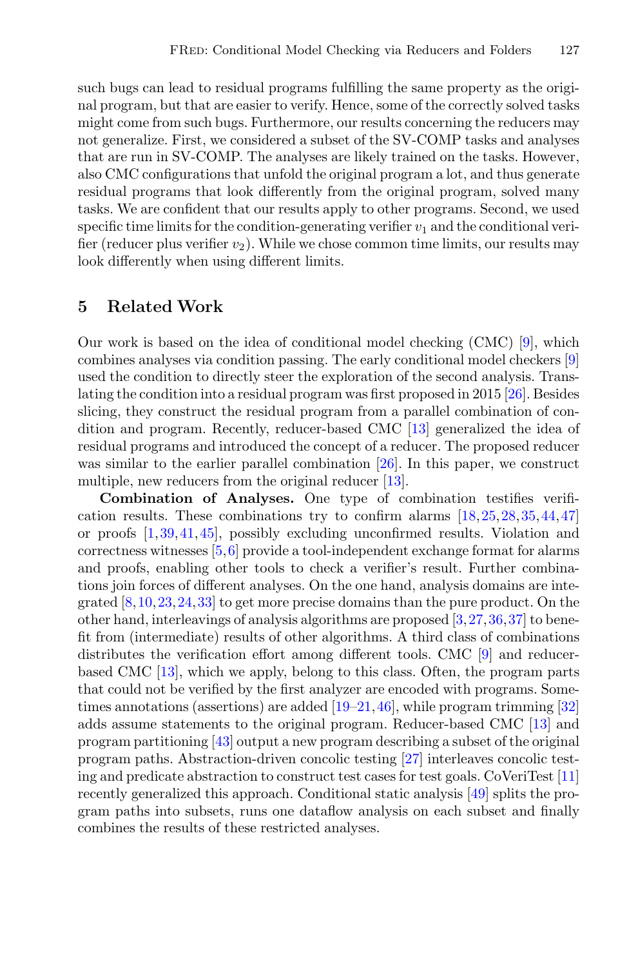such bugs can lead to residual programs fulfilling the same property as the original program, but that are easier to verify. Hence, some of the correctly solved tasks might come from such bugs. Furthermore, our results concerning the reducers may not generalize. First, we considered a subset of the SV-COMP tasks and analyses that are run in SV-COMP. The analyses are likely trained on the tasks. However, also CMC configurations that unfold the original program a lot, and thus generate residual programs that look differently from the original program, solved many tasks. We are confident that our results apply to other programs. Second, we used specific time limits for the condition-generating verifier  $v_1$  and the conditional verifier (reducer plus verifier  $v_2$ ). While we chose common time limits, our results may look differently when using different limits.

### **5 Related Work**

Our work is based on the idea of conditional model checking (CMC) [\[9](#page-16-2)], which combines analyses via condition passing. The early conditional model checkers [\[9\]](#page-16-2) used the condition to directly steer the exploration of the second analysis. Translating the condition into a residual program was first proposed in 2015 [\[26\]](#page-17-5). Besides slicing, they construct the residual program from a parallel combination of condition and program. Recently, reducer-based CMC [\[13](#page-16-4)] generalized the idea of residual programs and introduced the concept of a reducer. The proposed reducer was similar to the earlier parallel combination [\[26\]](#page-17-5). In this paper, we construct multiple, new reducers from the original reducer [\[13](#page-16-4)].

**Combination of Analyses.** One type of combination testifies verification results. These combinations try to confirm alarms [\[18](#page-17-9),[25](#page-17-3)[,28](#page-17-10)[,35](#page-18-3),[44,](#page-18-4)[47\]](#page-18-5) or proofs [\[1](#page-16-11)[,39](#page-18-6),[41,](#page-18-7)[45\]](#page-18-8), possibly excluding unconfirmed results. Violation and correctness witnesses  $[5,6]$  $[5,6]$  $[5,6]$  provide a tool-independent exchange format for alarms and proofs, enabling other tools to check a verifier's result. Further combinations join forces of different analyses. On the one hand, analysis domains are integrated  $[8, 10, 23, 24, 33]$  $[8, 10, 23, 24, 33]$  $[8, 10, 23, 24, 33]$  $[8, 10, 23, 24, 33]$  $[8, 10, 23, 24, 33]$  $[8, 10, 23, 24, 33]$  to get more precise domains than the pure product. On the other hand, interleavings of analysis algorithms are proposed [\[3](#page-16-0),[27,](#page-17-12)[36](#page-18-9)[,37](#page-18-1)] to benefit from (intermediate) results of other algorithms. A third class of combinations distributes the verification effort among different tools. CMC [\[9\]](#page-16-2) and reducerbased CMC [\[13](#page-16-4)], which we apply, belong to this class. Often, the program parts that could not be verified by the first analyzer are encoded with programs. Sometimes annotations (assertions) are added  $[19–21, 46]$  $[19–21, 46]$  $[19–21, 46]$  $[19–21, 46]$ , while program trimming  $[32]$ adds assume statements to the original program. Reducer-based CMC [\[13](#page-16-4)] and program partitioning [\[43](#page-18-11)] output a new program describing a subset of the original program paths. Abstraction-driven concolic testing [\[27\]](#page-17-12) interleaves concolic testing and predicate abstraction to construct test cases for test goals. CoVeriTest [\[11\]](#page-16-14) recently generalized this approach. Conditional static analysis [\[49](#page-18-12)] splits the program paths into subsets, runs one dataflow analysis on each subset and finally combines the results of these restricted analyses.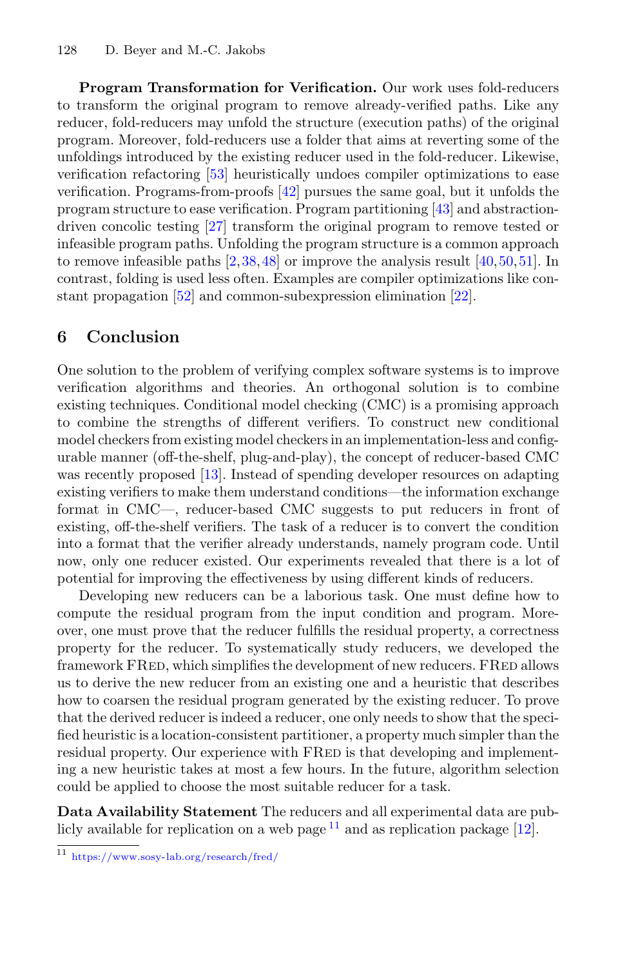**Program Transformation for Verification.** Our work uses fold-reducers to transform the original program to remove already-verified paths. Like any reducer, fold-reducers may unfold the structure (execution paths) of the original program. Moreover, fold-reducers use a folder that aims at reverting some of the unfoldings introduced by the existing reducer used in the fold-reducer. Likewise, verification refactoring [\[53\]](#page-19-0) heuristically undoes compiler optimizations to ease verification. Programs-from-proofs [\[42](#page-18-13)] pursues the same goal, but it unfolds the program structure to ease verification. Program partitioning [\[43](#page-18-11)] and abstractiondriven concolic testing [\[27\]](#page-17-12) transform the original program to remove tested or infeasible program paths. Unfolding the program structure is a common approach to remove infeasible paths  $[2,38,48]$  $[2,38,48]$  $[2,38,48]$  $[2,38,48]$  or improve the analysis result  $[40,50,51]$  $[40,50,51]$  $[40,50,51]$  $[40,50,51]$ . In contrast, folding is used less often. Examples are compiler optimizations like constant propagation [\[52\]](#page-19-2) and common-subexpression elimination [\[22\]](#page-17-15).

### <span id="page-15-0"></span>**6 Conclusion**

One solution to the problem of verifying complex software systems is to improve verification algorithms and theories. An orthogonal solution is to combine existing techniques. Conditional model checking (CMC) is a promising approach to combine the strengths of different verifiers. To construct new conditional model checkers from existing model checkers in an implementation-less and configurable manner (off-the-shelf, plug-and-play), the concept of reducer-based CMC was recently proposed [\[13\]](#page-16-4). Instead of spending developer resources on adapting existing verifiers to make them understand conditions—the information exchange format in CMC—, reducer-based CMC suggests to put reducers in front of existing, off-the-shelf verifiers. The task of a reducer is to convert the condition into a format that the verifier already understands, namely program code. Until now, only one reducer existed. Our experiments revealed that there is a lot of potential for improving the effectiveness by using different kinds of reducers.

Developing new reducers can be a laborious task. One must define how to compute the residual program from the input condition and program. Moreover, one must prove that the reducer fulfills the residual property, a correctness property for the reducer. To systematically study reducers, we developed the framework FRED, which simplifies the development of new reducers. FRED allows us to derive the new reducer from an existing one and a heuristic that describes how to coarsen the residual program generated by the existing reducer. To prove that the derived reducer is indeed a reducer, one only needs to show that the specified heuristic is a location-consistent partitioner, a property much simpler than the residual property. Our experience with FRED is that developing and implementing a new heuristic takes at most a few hours. In the future, algorithm selection could be applied to choose the most suitable reducer for a task.

**Data Availability Statement** The reducers and all experimental data are publicly available for replication on a web page  $^{11}$  $^{11}$  $^{11}$  and as replication package  $[12]$  $[12]$ .

<span id="page-15-1"></span><sup>11</sup> <https://www.sosy-lab.org/research/fred/>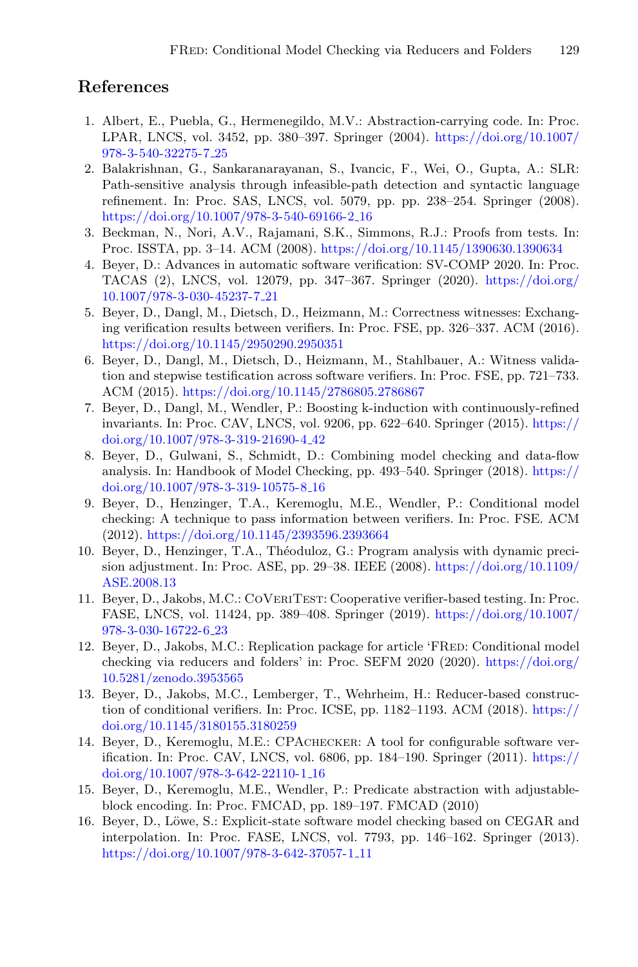## **References**

- <span id="page-16-11"></span>1. Albert, E., Puebla, G., Hermenegildo, M.V.: Abstraction-carrying code. In: Proc. LPAR, LNCS, vol. 3452, pp. 380–397. Springer (2004). [https://doi.org/10.1007/](https://doi.org/10.1007/978-3-540-32275-7_25) [978-3-540-32275-7](https://doi.org/10.1007/978-3-540-32275-7_25) 25
- <span id="page-16-15"></span>2. Balakrishnan, G., Sankaranarayanan, S., Ivancic, F., Wei, O., Gupta, A.: SLR: Path-sensitive analysis through infeasible-path detection and syntactic language refinement. In: Proc. SAS, LNCS, vol. 5079, pp. pp. 238–254. Springer (2008). [https://doi.org/10.1007/978-3-540-69166-2](https://doi.org/10.1007/978-3-540-69166-2_16) 16
- <span id="page-16-0"></span>3. Beckman, N., Nori, A.V., Rajamani, S.K., Simmons, R.J.: Proofs from tests. In: Proc. ISSTA, pp. 3–14. ACM (2008). <https://doi.org/10.1145/1390630.1390634>
- <span id="page-16-10"></span>4. Beyer, D.: Advances in automatic software verification: SV-COMP 2020. In: Proc. TACAS (2), LNCS, vol. 12079, pp. 347–367. Springer (2020). [https://doi.org/](https://doi.org/10.1007/978-3-030-45237-7_21) [10.1007/978-3-030-45237-7](https://doi.org/10.1007/978-3-030-45237-7_21) 21
- <span id="page-16-12"></span>5. Beyer, D., Dangl, M., Dietsch, D., Heizmann, M.: Correctness witnesses: Exchanging verification results between verifiers. In: Proc. FSE, pp. 326–337. ACM (2016). <https://doi.org/10.1145/2950290.2950351>
- <span id="page-16-13"></span>6. Beyer, D., Dangl, M., Dietsch, D., Heizmann, M., Stahlbauer, A.: Witness validation and stepwise testification across software verifiers. In: Proc. FSE, pp. 721–733. ACM (2015). <https://doi.org/10.1145/2786805.2786867>
- <span id="page-16-9"></span>7. Beyer, D., Dangl, M., Wendler, P.: Boosting k-induction with continuously-refined invariants. In: Proc. CAV, LNCS, vol. 9206, pp. 622–640. Springer (2015). [https://](https://doi.org/10.1007/978-3-319-21690-4_42) [doi.org/10.1007/978-3-319-21690-4](https://doi.org/10.1007/978-3-319-21690-4_42) 42
- <span id="page-16-1"></span>8. Beyer, D., Gulwani, S., Schmidt, D.: Combining model checking and data-flow analysis. In: Handbook of Model Checking, pp. 493–540. Springer (2018). [https://](https://doi.org/10.1007/978-3-319-10575-8_16) [doi.org/10.1007/978-3-319-10575-8](https://doi.org/10.1007/978-3-319-10575-8_16) 16
- <span id="page-16-2"></span>9. Beyer, D., Henzinger, T.A., Keremoglu, M.E., Wendler, P.: Conditional model checking: A technique to pass information between verifiers. In: Proc. FSE. ACM (2012). <https://doi.org/10.1145/2393596.2393664>
- <span id="page-16-5"></span>10. Beyer, D., Henzinger, T.A., Théoduloz, G.: Program analysis with dynamic precision adjustment. In: Proc. ASE, pp. 29–38. IEEE (2008). [https://doi.org/10.1109/](https://doi.org/10.1109/ASE.2008.13) [ASE.2008.13](https://doi.org/10.1109/ASE.2008.13)
- <span id="page-16-14"></span>11. Beyer, D., Jakobs, M.C.: CoVeriTest: Cooperative verifier-based testing. In: Proc. FASE, LNCS, vol. 11424, pp. 389–408. Springer (2019). [https://doi.org/10.1007/](https://doi.org/10.1007/978-3-030-16722-6_23) [978-3-030-16722-6](https://doi.org/10.1007/978-3-030-16722-6_23) 23
- <span id="page-16-3"></span>12. Beyer, D., Jakobs, M.C.: Replication package for article 'FRED: Conditional model checking via reducers and folders' in: Proc. SEFM 2020 (2020). [https://doi.org/](https://doi.org/10.5281/zenodo.3953565) [10.5281/zenodo.3953565](https://doi.org/10.5281/zenodo.3953565)
- <span id="page-16-4"></span>13. Beyer, D., Jakobs, M.C., Lemberger, T., Wehrheim, H.: Reducer-based construction of conditional verifiers. In: Proc. ICSE, pp. 1182–1193. ACM (2018). [https://](https://doi.org/10.1145/3180155.3180259) [doi.org/10.1145/3180155.3180259](https://doi.org/10.1145/3180155.3180259)
- <span id="page-16-6"></span>14. Beyer, D., Keremoglu, M.E.: CPAchecker: A tool for configurable software verification. In: Proc. CAV, LNCS, vol. 6806, pp. 184–190. Springer (2011). [https://](https://doi.org/10.1007/978-3-642-22110-1_16) [doi.org/10.1007/978-3-642-22110-1](https://doi.org/10.1007/978-3-642-22110-1_16) 16
- <span id="page-16-7"></span>15. Beyer, D., Keremoglu, M.E., Wendler, P.: Predicate abstraction with adjustableblock encoding. In: Proc. FMCAD, pp. 189–197. FMCAD (2010)
- <span id="page-16-8"></span>16. Beyer, D., Löwe, S.: Explicit-state software model checking based on CEGAR and interpolation. In: Proc. FASE, LNCS, vol. 7793, pp. 146–162. Springer (2013). [https://doi.org/10.1007/978-3-642-37057-1](https://doi.org/10.1007/978-3-642-37057-1_11)<sub>-11</sub>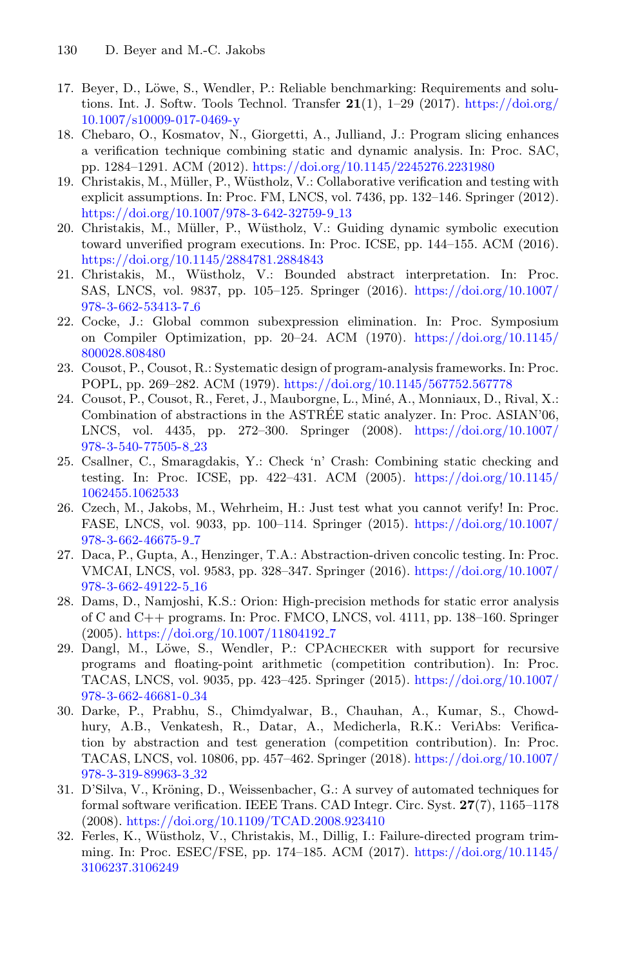- <span id="page-17-8"></span>17. Beyer, D., Löwe, S., Wendler, P.: Reliable benchmarking: Requirements and solutions. Int. J. Softw. Tools Technol. Transfer **21**(1), 1–29 (2017). [https://doi.org/](https://doi.org/10.1007/s10009-017-0469-y) [10.1007/s10009-017-0469-y](https://doi.org/10.1007/s10009-017-0469-y)
- <span id="page-17-9"></span>18. Chebaro, O., Kosmatov, N., Giorgetti, A., Julliand, J.: Program slicing enhances a verification technique combining static and dynamic analysis. In: Proc. SAC, pp. 1284–1291. ACM (2012). <https://doi.org/10.1145/2245276.2231980>
- <span id="page-17-13"></span>19. Christakis, M., Müller, P., Wüstholz, V.: Collaborative verification and testing with explicit assumptions. In: Proc. FM, LNCS, vol. 7436, pp. 132–146. Springer (2012). [https://doi.org/10.1007/978-3-642-32759-9](https://doi.org/10.1007/978-3-642-32759-9_13) 13
- <span id="page-17-1"></span>20. Christakis, M., M¨uller, P., W¨ustholz, V.: Guiding dynamic symbolic execution toward unverified program executions. In: Proc. ICSE, pp. 144–155. ACM (2016). <https://doi.org/10.1145/2884781.2884843>
- <span id="page-17-14"></span>21. Christakis, M., Wüstholz, V.: Bounded abstract interpretation. In: Proc. SAS, LNCS, vol. 9837, pp. 105–125. Springer (2016). [https://doi.org/10.1007/](https://doi.org/10.1007/978-3-662-53413-7_6) [978-3-662-53413-7](https://doi.org/10.1007/978-3-662-53413-7_6) 6
- <span id="page-17-15"></span>22. Cocke, J.: Global common subexpression elimination. In: Proc. Symposium on Compiler Optimization, pp. 20–24. ACM (1970). [https://doi.org/10.1145/](https://doi.org/10.1145/800028.808480) [800028.808480](https://doi.org/10.1145/800028.808480)
- <span id="page-17-2"></span>23. Cousot, P., Cousot, R.: Systematic design of program-analysis frameworks. In: Proc. POPL, pp. 269–282. ACM (1979). <https://doi.org/10.1145/567752.567778>
- <span id="page-17-11"></span>24. Cousot, P., Cousot, R., Feret, J., Mauborgne, L., Miné, A., Monniaux, D., Rival, X.: Combination of abstractions in the ASTREE static analyzer. In: Proc. ASIAN'06, ´ LNCS, vol. 4435, pp. 272–300. Springer (2008). [https://doi.org/10.1007/](https://doi.org/10.1007/978-3-540-77505-8_23) [978-3-540-77505-8](https://doi.org/10.1007/978-3-540-77505-8_23) 23
- <span id="page-17-3"></span>25. Csallner, C., Smaragdakis, Y.: Check 'n' Crash: Combining static checking and testing. In: Proc. ICSE, pp. 422–431. ACM (2005). [https://doi.org/10.1145/](https://doi.org/10.1145/1062455.1062533) [1062455.1062533](https://doi.org/10.1145/1062455.1062533)
- <span id="page-17-5"></span>26. Czech, M., Jakobs, M., Wehrheim, H.: Just test what you cannot verify! In: Proc. FASE, LNCS, vol. 9033, pp. 100–114. Springer (2015). [https://doi.org/10.1007/](https://doi.org/10.1007/978-3-662-46675-9_7) [978-3-662-46675-9](https://doi.org/10.1007/978-3-662-46675-9_7) 7
- <span id="page-17-12"></span>27. Daca, P., Gupta, A., Henzinger, T.A.: Abstraction-driven concolic testing. In: Proc. VMCAI, LNCS, vol. 9583, pp. 328–347. Springer (2016). [https://doi.org/10.1007/](https://doi.org/10.1007/978-3-662-49122-5_16) [978-3-662-49122-5](https://doi.org/10.1007/978-3-662-49122-5_16) 16
- <span id="page-17-10"></span>28. Dams, D., Namjoshi, K.S.: Orion: High-precision methods for static error analysis of C and C++ programs. In: Proc. FMCO, LNCS, vol. 4111, pp. 138–160. Springer (2005). [https://doi.org/10.1007/11804192](https://doi.org/10.1007/11804192_7) 7
- <span id="page-17-6"></span>29. Dangl, M., Löwe, S., Wendler, P.: CPACHECKER with support for recursive programs and floating-point arithmetic (competition contribution). In: Proc. TACAS, LNCS, vol. 9035, pp. 423–425. Springer (2015). [https://doi.org/10.1007/](https://doi.org/10.1007/978-3-662-46681-0_34) [978-3-662-46681-0](https://doi.org/10.1007/978-3-662-46681-0_34) 34
- <span id="page-17-7"></span>30. Darke, P., Prabhu, S., Chimdyalwar, B., Chauhan, A., Kumar, S., Chowdhury, A.B., Venkatesh, R., Datar, A., Medicherla, R.K.: VeriAbs: Verification by abstraction and test generation (competition contribution). In: Proc. TACAS, LNCS, vol. 10806, pp. 457–462. Springer (2018). [https://doi.org/10.1007/](https://doi.org/10.1007/978-3-319-89963-3_32) [978-3-319-89963-3](https://doi.org/10.1007/978-3-319-89963-3_32) 32
- <span id="page-17-0"></span>31. D'Silva, V., Kröning, D., Weissenbacher, G.: A survey of automated techniques for formal software verification. IEEE Trans. CAD Integr. Circ. Syst. **27**(7), 1165–1178 (2008). <https://doi.org/10.1109/TCAD.2008.923410>
- <span id="page-17-4"></span>32. Ferles, K., Wüstholz, V., Christakis, M., Dillig, I.: Failure-directed program trimming. In: Proc. ESEC/FSE, pp. 174–185. ACM (2017). [https://doi.org/10.1145/](https://doi.org/10.1145/3106237.3106249) [3106237.3106249](https://doi.org/10.1145/3106237.3106249)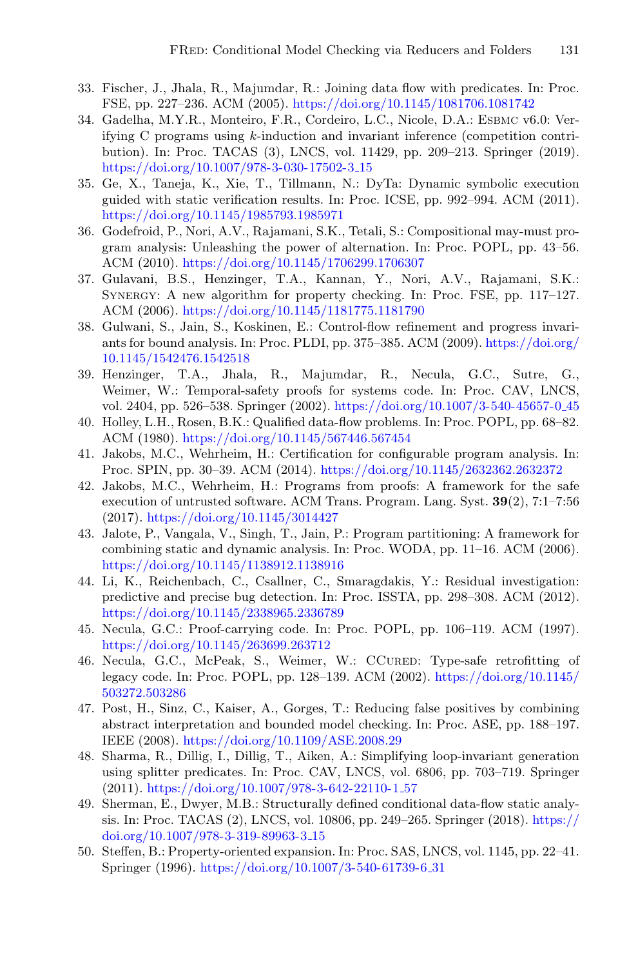- <span id="page-18-0"></span>33. Fischer, J., Jhala, R., Majumdar, R.: Joining data flow with predicates. In: Proc. FSE, pp. 227–236. ACM (2005). <https://doi.org/10.1145/1081706.1081742>
- <span id="page-18-2"></span>34. Gadelha, M.Y.R., Monteiro, F.R., Cordeiro, L.C., Nicole, D.A.: Esbmc v6.0: Verifying C programs using k-induction and invariant inference (competition contribution). In: Proc. TACAS (3), LNCS, vol. 11429, pp. 209–213. Springer (2019). [https://doi.org/10.1007/978-3-030-17502-3](https://doi.org/10.1007/978-3-030-17502-3_15) 15
- <span id="page-18-3"></span>35. Ge, X., Taneja, K., Xie, T., Tillmann, N.: DyTa: Dynamic symbolic execution guided with static verification results. In: Proc. ICSE, pp. 992–994. ACM (2011). <https://doi.org/10.1145/1985793.1985971>
- <span id="page-18-9"></span>36. Godefroid, P., Nori, A.V., Rajamani, S.K., Tetali, S.: Compositional may-must program analysis: Unleashing the power of alternation. In: Proc. POPL, pp. 43–56. ACM (2010). <https://doi.org/10.1145/1706299.1706307>
- <span id="page-18-1"></span>37. Gulavani, B.S., Henzinger, T.A., Kannan, Y., Nori, A.V., Rajamani, S.K.: SYNERGY: A new algorithm for property checking. In: Proc. FSE, pp. 117-127. ACM (2006). <https://doi.org/10.1145/1181775.1181790>
- <span id="page-18-14"></span>38. Gulwani, S., Jain, S., Koskinen, E.: Control-flow refinement and progress invariants for bound analysis. In: Proc. PLDI, pp. 375–385. ACM (2009). [https://doi.org/](https://doi.org/10.1145/1542476.1542518) [10.1145/1542476.1542518](https://doi.org/10.1145/1542476.1542518)
- <span id="page-18-6"></span>39. Henzinger, T.A., Jhala, R., Majumdar, R., Necula, G.C., Sutre, G., Weimer, W.: Temporal-safety proofs for systems code. In: Proc. CAV, LNCS, vol. 2404, pp. 526–538. Springer (2002). [https://doi.org/10.1007/3-540-45657-0](https://doi.org/10.1007/3-540-45657-0_45) 45
- <span id="page-18-16"></span>40. Holley, L.H., Rosen, B.K.: Qualified data-flow problems. In: Proc. POPL, pp. 68–82. ACM (1980). <https://doi.org/10.1145/567446.567454>
- <span id="page-18-7"></span>41. Jakobs, M.C., Wehrheim, H.: Certification for configurable program analysis. In: Proc. SPIN, pp. 30–39. ACM (2014). <https://doi.org/10.1145/2632362.2632372>
- <span id="page-18-13"></span>42. Jakobs, M.C., Wehrheim, H.: Programs from proofs: A framework for the safe execution of untrusted software. ACM Trans. Program. Lang. Syst. **39**(2), 7:1–7:56 (2017). <https://doi.org/10.1145/3014427>
- <span id="page-18-11"></span>43. Jalote, P., Vangala, V., Singh, T., Jain, P.: Program partitioning: A framework for combining static and dynamic analysis. In: Proc. WODA, pp. 11–16. ACM (2006). <https://doi.org/10.1145/1138912.1138916>
- <span id="page-18-4"></span>44. Li, K., Reichenbach, C., Csallner, C., Smaragdakis, Y.: Residual investigation: predictive and precise bug detection. In: Proc. ISSTA, pp. 298–308. ACM (2012). <https://doi.org/10.1145/2338965.2336789>
- <span id="page-18-8"></span>45. Necula, G.C.: Proof-carrying code. In: Proc. POPL, pp. 106–119. ACM (1997). <https://doi.org/10.1145/263699.263712>
- <span id="page-18-10"></span>46. Necula, G.C., McPeak, S., Weimer, W.: CCured: Type-safe retrofitting of legacy code. In: Proc. POPL, pp. 128–139. ACM (2002). [https://doi.org/10.1145/](https://doi.org/10.1145/503272.503286) [503272.503286](https://doi.org/10.1145/503272.503286)
- <span id="page-18-5"></span>47. Post, H., Sinz, C., Kaiser, A., Gorges, T.: Reducing false positives by combining abstract interpretation and bounded model checking. In: Proc. ASE, pp. 188–197. IEEE (2008). <https://doi.org/10.1109/ASE.2008.29>
- <span id="page-18-15"></span>48. Sharma, R., Dillig, I., Dillig, T., Aiken, A.: Simplifying loop-invariant generation using splitter predicates. In: Proc. CAV, LNCS, vol. 6806, pp. 703–719. Springer (2011). [https://doi.org/10.1007/978-3-642-22110-1](https://doi.org/10.1007/978-3-642-22110-1_57) 57
- <span id="page-18-12"></span>49. Sherman, E., Dwyer, M.B.: Structurally defined conditional data-flow static analysis. In: Proc. TACAS (2), LNCS, vol. 10806, pp. 249–265. Springer (2018). [https://](https://doi.org/10.1007/978-3-319-89963-3_15) [doi.org/10.1007/978-3-319-89963-3](https://doi.org/10.1007/978-3-319-89963-3_15) 15
- <span id="page-18-17"></span>50. Steffen, B.: Property-oriented expansion. In: Proc. SAS, LNCS, vol. 1145, pp. 22–41. Springer (1996). [https://doi.org/10.1007/3-540-61739-6](https://doi.org/10.1007/3-540-61739-6_31) 31